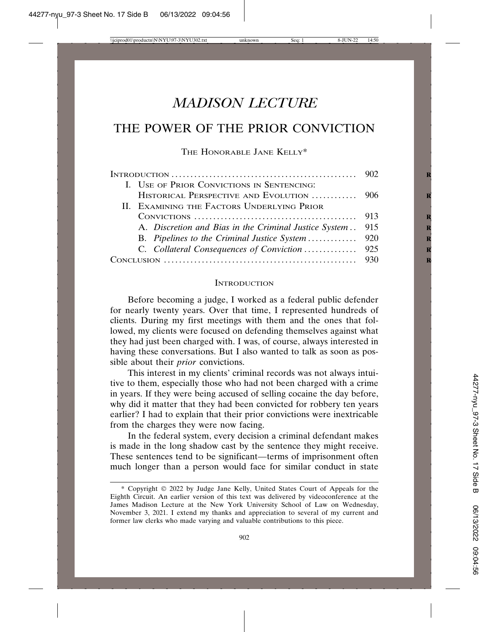# *MADISON LECTURE*

# THE POWER OF THE PRIOR CONVICTION

THE HONORABLE JANE KELLY\*

| INTRODUCTION $\ldots \ldots \ldots \ldots \ldots \ldots \ldots \ldots \ldots \ldots \ldots \ldots \ldots \qquad 902$ |  |
|----------------------------------------------------------------------------------------------------------------------|--|
| I. USE OF PRIOR CONVICTIONS IN SENTENCING:                                                                           |  |
| HISTORICAL PERSPECTIVE AND EVOLUTION  906                                                                            |  |
| II. EXAMINING THE FACTORS UNDERLYING PRIOR                                                                           |  |
|                                                                                                                      |  |
| A. Discretion and Bias in the Criminal Justice System  915                                                           |  |
|                                                                                                                      |  |
|                                                                                                                      |  |
|                                                                                                                      |  |

### **INTRODUCTION**

Before becoming a judge, I worked as a federal public defender for nearly twenty years. Over that time, I represented hundreds of clients. During my first meetings with them and the ones that followed, my clients were focused on defending themselves against what they had just been charged with. I was, of course, always interested in having these conversations. But I also wanted to talk as soon as possible about their *prior* convictions.

This interest in my clients' criminal records was not always intuitive to them, especially those who had not been charged with a crime in years. If they were being accused of selling cocaine the day before, why did it matter that they had been convicted for robbery ten years earlier? I had to explain that their prior convictions were inextricable from the charges they were now facing.

In the federal system, every decision a criminal defendant makes is made in the long shadow cast by the sentence they might receive. These sentences tend to be significant—terms of imprisonment often much longer than a person would face for similar conduct in state

<sup>\*</sup> Copyright 2022 by Judge Jane Kelly, United States Court of Appeals for the Eighth Circuit. An earlier version of this text was delivered by videoconference at the James Madison Lecture at the New York University School of Law on Wednesday, November 3, 2021. I extend my thanks and appreciation to several of my current and former law clerks who made varying and valuable contributions to this piece.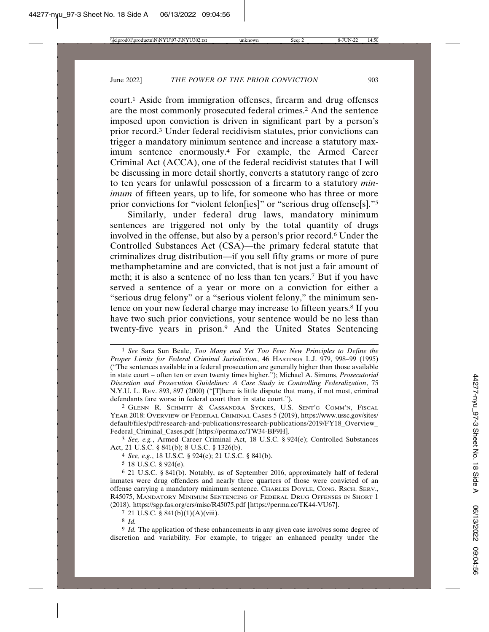court.1 Aside from immigration offenses, firearm and drug offenses are the most commonly prosecuted federal crimes.2 And the sentence imposed upon conviction is driven in significant part by a person's prior record.3 Under federal recidivism statutes, prior convictions can trigger a mandatory minimum sentence and increase a statutory maximum sentence enormously.4 For example, the Armed Career Criminal Act (ACCA), one of the federal recidivist statutes that I will be discussing in more detail shortly, converts a statutory range of zero to ten years for unlawful possession of a firearm to a statutory *minimum* of fifteen years, up to life, for someone who has three or more prior convictions for "violent felon[ies]" or "serious drug offense[s]."5

Similarly, under federal drug laws, mandatory minimum sentences are triggered not only by the total quantity of drugs involved in the offense, but also by a person's prior record.6 Under the Controlled Substances Act (CSA)—the primary federal statute that criminalizes drug distribution—if you sell fifty grams or more of pure methamphetamine and are convicted, that is not just a fair amount of meth; it is also a sentence of no less than ten years.7 But if you have served a sentence of a year or more on a conviction for either a "serious drug felony" or a "serious violent felony," the minimum sentence on your new federal charge may increase to fifteen years.<sup>8</sup> If you have two such prior convictions, your sentence would be no less than twenty-five years in prison.9 And the United States Sentencing

3 *See, e.g.*, Armed Career Criminal Act, 18 U.S.C. § 924(e); Controlled Substances Act, 21 U.S.C. § 841(b); 8 U.S.C. § 1326(b).

4 *See, e.g.*, 18 U.S.C. § 924(e); 21 U.S.C. § 841(b).

5 18 U.S.C. § 924(e).

6 21 U.S.C. § 841(b). Notably, as of September 2016, approximately half of federal inmates were drug offenders and nearly three quarters of those were convicted of an offense carrying a mandatory minimum sentence. CHARLES DOYLE, CONG. RSCH. SERV., R45075, MANDATORY MINIMUM SENTENCING OF FEDERAL DRUG OFFENSES IN SHORT 1 (2018), https://sgp.fas.org/crs/misc/R45075.pdf [https://perma.cc/TK44-VU67].

 $7$  21 U.S.C. § 841(b)(1)(A)(viii).

8 *Id.*

9 *Id.* The application of these enhancements in any given case involves some degree of discretion and variability. For example, to trigger an enhanced penalty under the

<sup>1</sup> *See* Sara Sun Beale, *Too Many and Yet Too Few: New Principles to Define the Proper Limits for Federal Criminal Jurisdiction*, 46 HASTINGS L.J. 979, 998–99 (1995) ("The sentences available in a federal prosecution are generally higher than those available in state court – often ten or even twenty times higher."); Michael A. Simons, *Prosecutorial Discretion and Prosecution Guidelines: A Case Study in Controlling Federalization*, 75 N.Y.U. L. REV. 893, 897 (2000) ("[T]here is little dispute that many, if not most, criminal defendants fare worse in federal court than in state court.").

<sup>2</sup> GLENN R. SCHMITT & CASSANDRA SYCKES, U.S. SENT'G COMM'N, FISCAL YEAR 2018: OVERVIEW OF FEDERAL CRIMINAL CASES 5 (2019), https://www.ussc.gov/sites/ default/files/pdf/research-and-publications/research-publications/2019/FY18\_Overview\_ Federal\_Criminal\_Cases.pdf [https://perma.cc/TW34-BF9H].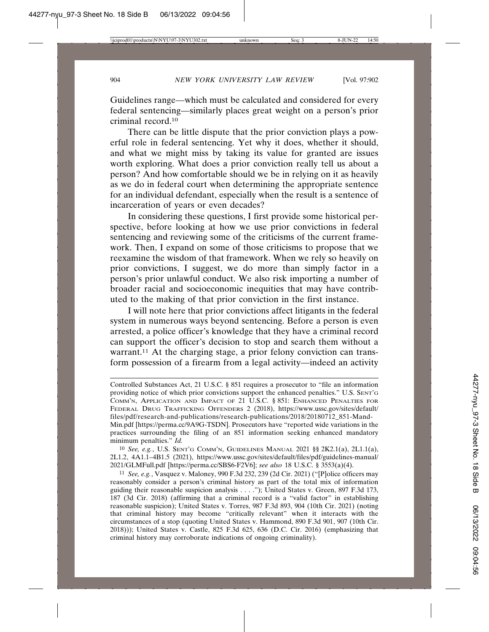Guidelines range—which must be calculated and considered for every federal sentencing—similarly places great weight on a person's prior criminal record.10

There can be little dispute that the prior conviction plays a powerful role in federal sentencing. Yet why it does, whether it should, and what we might miss by taking its value for granted are issues worth exploring. What does a prior conviction really tell us about a person? And how comfortable should we be in relying on it as heavily as we do in federal court when determining the appropriate sentence for an individual defendant, especially when the result is a sentence of incarceration of years or even decades?

In considering these questions, I first provide some historical perspective, before looking at how we use prior convictions in federal sentencing and reviewing some of the criticisms of the current framework. Then, I expand on some of those criticisms to propose that we reexamine the wisdom of that framework. When we rely so heavily on prior convictions, I suggest, we do more than simply factor in a person's prior unlawful conduct. We also risk importing a number of broader racial and socioeconomic inequities that may have contributed to the making of that prior conviction in the first instance.

I will note here that prior convictions affect litigants in the federal system in numerous ways beyond sentencing. Before a person is even arrested, a police officer's knowledge that they have a criminal record can support the officer's decision to stop and search them without a warrant.<sup>11</sup> At the charging stage, a prior felony conviction can transform possession of a firearm from a legal activity—indeed an activity

10 *See, e.g.*, U.S. SENT'G COMM'N, GUIDELINES MANUAL 2021 §§ 2K2.1(a), 2L1.1(a), 2L1.2, 4A1.1–4B1.5 (2021), https://www.ussc.gov/sites/default/files/pdf/guidelines-manual/ 2021/GLMFull.pdf [https://perma.cc/SBS6-F2V6]; *see also* 18 U.S.C. § 3553(a)(4).

Controlled Substances Act, 21 U.S.C. § 851 requires a prosecutor to "file an information providing notice of which prior convictions support the enhanced penalties." U.S. SENT'G COMM'N, APPLICATION AND IMPACT OF 21 U.S.C. § 851: ENHANCED PENALTIES FOR FEDERAL DRUG TRAFFICKING OFFENDERS 2 (2018), https://www.ussc.gov/sites/default/ files/pdf/research-and-publications/research-publications/2018/20180712\_851-Mand-Min.pdf [https://perma.cc/9A9G-TSDN]. Prosecutors have "reported wide variations in the practices surrounding the filing of an 851 information seeking enhanced mandatory minimum penalties." *Id.*

<sup>11</sup> *See, e.g.*, Vasquez v. Maloney, 990 F.3d 232, 239 (2d Cir. 2021) ("[P]olice officers may reasonably consider a person's criminal history as part of the total mix of information guiding their reasonable suspicion analysis . . . ."); United States v. Green, 897 F.3d 173, 187 (3d Cir. 2018) (affirming that a criminal record is a "valid factor" in establishing reasonable suspicion); United States v. Torres, 987 F.3d 893, 904 (10th Cir. 2021) (noting that criminal history may become "critically relevant" when it interacts with the circumstances of a stop (quoting United States v. Hammond, 890 F.3d 901, 907 (10th Cir. 2018))); United States v. Castle, 825 F.3d 625, 636 (D.C. Cir. 2016) (emphasizing that criminal history may corroborate indications of ongoing criminality).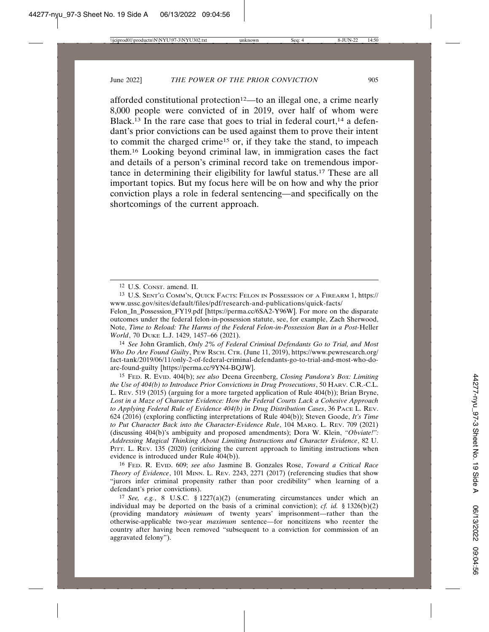afforded constitutional protection<sup>12</sup>—to an illegal one, a crime nearly 8,000 people were convicted of in 2019, over half of whom were Black.<sup>13</sup> In the rare case that goes to trial in federal court,<sup>14</sup> a defendant's prior convictions can be used against them to prove their intent to commit the charged crime15 or, if they take the stand, to impeach them.16 Looking beyond criminal law, in immigration cases the fact and details of a person's criminal record take on tremendous importance in determining their eligibility for lawful status.17 These are all important topics. But my focus here will be on how and why the prior conviction plays a role in federal sentencing—and specifically on the shortcomings of the current approach.

14 *See* John Gramlich, *Only 2% of Federal Criminal Defendants Go to Trial, and Most Who Do Are Found Guilty*, PEW RSCH. CTR. (June 11, 2019), https://www.pewresearch.org/ fact-tank/2019/06/11/only-2-of-federal-criminal-defendants-go-to-trial-and-most-who-doare-found-guilty [https://perma.cc/9YN4-BQJW].

15 FED. R. EVID. 404(b); *see also* Deena Greenberg, *Closing Pandora's Box: Limiting the Use of 404(b) to Introduce Prior Convictions in Drug Prosecutions*, 50 HARV. C.R.-C.L. L. REV. 519 (2015) (arguing for a more targeted application of Rule 404(b)); Brian Bryne, *Lost in a Maze of Character Evidence: How the Federal Courts Lack a Cohesive Approach to Applying Federal Rule of Evidence 404(b) in Drug Distribution Cases*, 36 PACE L. REV. 624 (2016) (exploring conflicting interpretations of Rule 404(b)); Steven Goode, *It's Time to Put Character Back into the Character-Evidence Rule*, 104 MARQ. L. REV. 709 (2021) (discussing 404(b)'s ambiguity and proposed amendments); Dora W. Klein, *"Obviate!": Addressing Magical Thinking About Limiting Instructions and Character Evidence*, 82 U. PITT. L. REV. 135 (2020) (criticizing the current approach to limiting instructions when evidence is introduced under Rule 404(b)).

16 FED. R. EVID. 609; *see also* Jasmine B. Gonzales Rose, *Toward a Critical Race Theory of Evidence*, 101 MINN. L. REV. 2243, 2271 (2017) (referencing studies that show "jurors infer criminal propensity rather than poor credibility" when learning of a defendant's prior convictions).

17 *See, e.g.*, 8 U.S.C. § 1227(a)(2) (enumerating circumstances under which an individual may be deported on the basis of a criminal conviction); *cf. id.* § 1326(b)(2) (providing mandatory *minimum* of twenty years' imprisonment—rather than the otherwise-applicable two-year *maximum* sentence—for noncitizens who reenter the country after having been removed "subsequent to a conviction for commission of an aggravated felony").

<sup>12</sup> U.S. CONST. amend. II.

<sup>13</sup> U.S. SENT'G COMM'N, QUICK FACTS: FELON IN POSSESSION OF A FIREARM 1, https:// www.ussc.gov/sites/default/files/pdf/research-and-publications/quick-facts/

Felon In Possession FY19.pdf [https://perma.cc/6SA2-Y96W]. For more on the disparate outcomes under the federal felon-in-possession statute, see, for example, Zach Sherwood, Note, *Time to Reload: The Harms of the Federal Felon-in-Possession Ban in a Post-*Heller *World*, 70 DUKE L.J. 1429, 1457–66 (2021).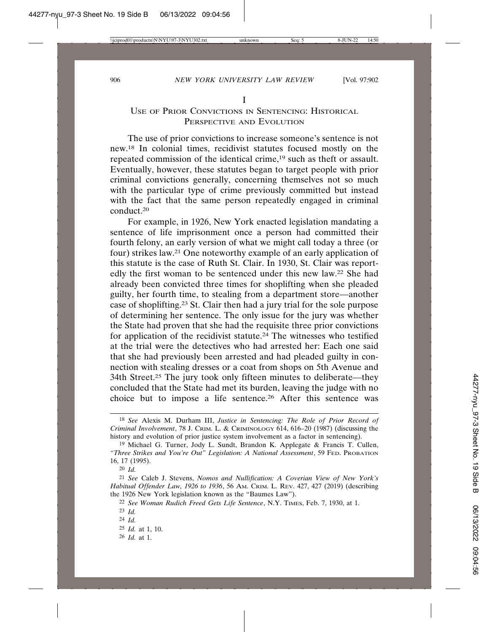## USE OF PRIOR CONVICTIONS IN SENTENCING: HISTORICAL PERSPECTIVE AND EVOLUTION

I

The use of prior convictions to increase someone's sentence is not new.18 In colonial times, recidivist statutes focused mostly on the repeated commission of the identical crime,19 such as theft or assault. Eventually, however, these statutes began to target people with prior criminal convictions generally, concerning themselves not so much with the particular type of crime previously committed but instead with the fact that the same person repeatedly engaged in criminal conduct.20

For example, in 1926, New York enacted legislation mandating a sentence of life imprisonment once a person had committed their fourth felony, an early version of what we might call today a three (or four) strikes law.21 One noteworthy example of an early application of this statute is the case of Ruth St. Clair. In 1930, St. Clair was reportedly the first woman to be sentenced under this new law.22 She had already been convicted three times for shoplifting when she pleaded guilty, her fourth time, to stealing from a department store—another case of shoplifting.23 St. Clair then had a jury trial for the sole purpose of determining her sentence. The only issue for the jury was whether the State had proven that she had the requisite three prior convictions for application of the recidivist statute.24 The witnesses who testified at the trial were the detectives who had arrested her: Each one said that she had previously been arrested and had pleaded guilty in connection with stealing dresses or a coat from shops on 5th Avenue and 34th Street.25 The jury took only fifteen minutes to deliberate—they concluded that the State had met its burden, leaving the judge with no choice but to impose a life sentence.26 After this sentence was

20 *Id.*

<sup>18</sup> *See* Alexis M. Durham III, *Justice in Sentencing: The Role of Prior Record of Criminal Involvement*, 78 J. CRIM. L. & CRIMINOLOGY 614, 616–20 (1987) (discussing the history and evolution of prior justice system involvement as a factor in sentencing).

<sup>19</sup> Michael G. Turner, Jody L. Sundt, Brandon K. Applegate & Francis T. Cullen, *"Three Strikes and You're Out" Legislation: A National Assessment*, 59 FED. PROBATION 16, 17 (1995).

<sup>21</sup> *See* Caleb J. Stevens, *Nomos and Nullification: A Coverian View of New York's Habitual Offender Law, 1926 to 1936*, 56 AM. CRIM. L. REV. 427, 427 (2019) (describing the 1926 New York legislation known as the "Baumes Law").

<sup>22</sup> *See Woman Rudich Freed Gets Life Sentence*, N.Y. TIMES, Feb. 7, 1930, at 1.

<sup>23</sup> *Id.*

<sup>24</sup> *Id.*

<sup>25</sup> *Id.* at 1, 10.

<sup>26</sup> *Id.* at 1.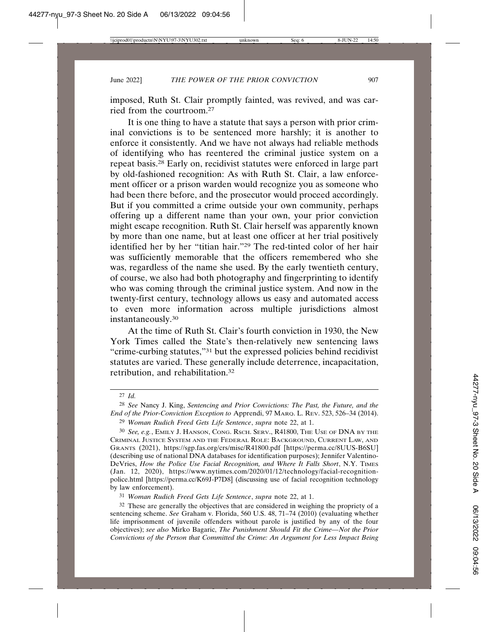imposed, Ruth St. Clair promptly fainted, was revived, and was carried from the courtroom.27

It is one thing to have a statute that says a person with prior criminal convictions is to be sentenced more harshly; it is another to enforce it consistently. And we have not always had reliable methods of identifying who has reentered the criminal justice system on a repeat basis.28 Early on, recidivist statutes were enforced in large part by old-fashioned recognition: As with Ruth St. Clair, a law enforcement officer or a prison warden would recognize you as someone who had been there before, and the prosecutor would proceed accordingly. But if you committed a crime outside your own community, perhaps offering up a different name than your own, your prior conviction might escape recognition. Ruth St. Clair herself was apparently known by more than one name, but at least one officer at her trial positively identified her by her "titian hair."29 The red-tinted color of her hair was sufficiently memorable that the officers remembered who she was, regardless of the name she used. By the early twentieth century, of course, we also had both photography and fingerprinting to identify who was coming through the criminal justice system. And now in the twenty-first century, technology allows us easy and automated access to even more information across multiple jurisdictions almost instantaneously.30

At the time of Ruth St. Clair's fourth conviction in 1930, the New York Times called the State's then-relatively new sentencing laws "crime-curbing statutes,"31 but the expressed policies behind recidivist statutes are varied. These generally include deterrence, incapacitation, retribution, and rehabilitation.32

31 *Woman Rudich Freed Gets Life Sentence*, *supra* note 22, at 1.

<sup>27</sup> *Id.*

<sup>28</sup> *See* Nancy J. King, *Sentencing and Prior Convictions: The Past, the Future, and the End of the Prior-Conviction Exception to* Apprendi, 97 MARQ. L. REV. 523, 526–34 (2014). 29 *Woman Rudich Freed Gets Life Sentence*, *supra* note 22, at 1.

<sup>30</sup> *See, e.g.*, EMILY J. HANSON, CONG. RSCH. SERV., R41800, THE USE OF DNA BY THE CRIMINAL JUSTICE SYSTEM AND THE FEDERAL ROLE: BACKGROUND, CURRENT LAW, AND GRANTS (2021), https://sgp.fas.org/crs/misc/R41800.pdf [https://perma.cc/8UUS-B6SU] (describing use of national DNA databases for identification purposes); Jennifer Valentino-DeVries, *How the Police Use Facial Recognition, and Where It Falls Short*, N.Y. TIMES (Jan. 12, 2020), https://www.nytimes.com/2020/01/12/technology/facial-recognitionpolice.html [https://perma.cc/K69J-P7D8] (discussing use of facial recognition technology by law enforcement).

 $32$  These are generally the objectives that are considered in weighing the propriety of a sentencing scheme. *See* Graham v. Florida, 560 U.S. 48, 71–74 (2010) (evaluating whether life imprisonment of juvenile offenders without parole is justified by any of the four objectives); *see also* Mirko Bagaric, *The Punishment Should Fit the Crime—Not the Prior Convictions of the Person that Committed the Crime: An Argument for Less Impact Being*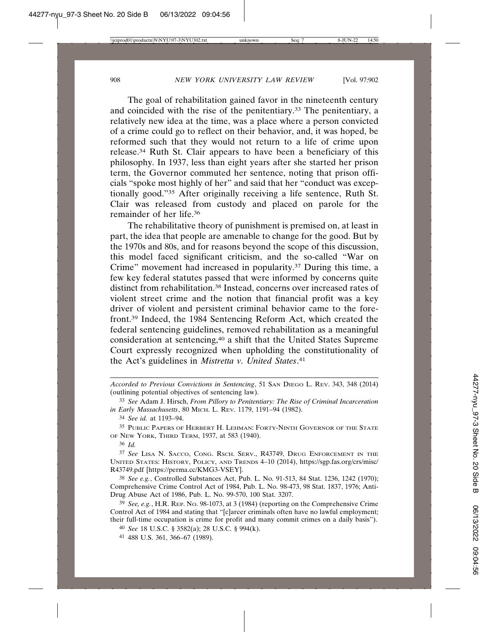The goal of rehabilitation gained favor in the nineteenth century and coincided with the rise of the penitentiary.33 The penitentiary, a relatively new idea at the time, was a place where a person convicted of a crime could go to reflect on their behavior, and, it was hoped, be reformed such that they would not return to a life of crime upon release.34 Ruth St. Clair appears to have been a beneficiary of this philosophy. In 1937, less than eight years after she started her prison term, the Governor commuted her sentence, noting that prison officials "spoke most highly of her" and said that her "conduct was exceptionally good."35 After originally receiving a life sentence, Ruth St. Clair was released from custody and placed on parole for the remainder of her life.36

The rehabilitative theory of punishment is premised on, at least in part, the idea that people are amenable to change for the good. But by the 1970s and 80s, and for reasons beyond the scope of this discussion, this model faced significant criticism, and the so-called "War on Crime" movement had increased in popularity.37 During this time, a few key federal statutes passed that were informed by concerns quite distinct from rehabilitation.38 Instead, concerns over increased rates of violent street crime and the notion that financial profit was a key driver of violent and persistent criminal behavior came to the forefront.39 Indeed, the 1984 Sentencing Reform Act, which created the federal sentencing guidelines, removed rehabilitation as a meaningful consideration at sentencing,40 a shift that the United States Supreme Court expressly recognized when upholding the constitutionality of the Act's guidelines in *Mistretta v. United States*. 41

*Accorded to Previous Convictions in Sentencing*, 51 SAN DIEGO L. REV. 343, 348 (2014) (outlining potential objectives of sentencing law).

<sup>33</sup> *See* Adam J. Hirsch, *From Pillory to Penitentiary: The Rise of Criminal Incarceration in Early Massachusetts*, 80 MICH. L. REV. 1179, 1191–94 (1982).

<sup>34</sup> *See id.* at 1193–94.

<sup>35</sup> PUBLIC PAPERS OF HERBERT H. LEHMAN: FORTY-NINTH GOVERNOR OF THE STATE OF NEW YORK, THIRD TERM, 1937, at 583 (1940).

<sup>36</sup> *Id.*

<sup>37</sup> *See* LISA N. SACCO, CONG. RSCH. SERV., R43749, DRUG ENFORCEMENT IN THE UNITED STATES: HISTORY, POLICY, AND TRENDS 4–10 (2014), https://sgp.fas.org/crs/misc/ R43749.pdf [https://perma.cc/KMG3-VSEY].

<sup>38</sup> *See e.g.*, Controlled Substances Act, Pub. L. No. 91-513, 84 Stat. 1236, 1242 (1970); Comprehensive Crime Control Act of 1984, Pub. L. No. 98-473, 98 Stat. 1837, 1976; Anti-Drug Abuse Act of 1986, Pub. L. No. 99-570, 100 Stat. 3207.

<sup>39</sup> *See, e.g.*, H.R. REP. NO. 98-1073, at 3 (1984) (reporting on the Comprehensive Crime Control Act of 1984 and stating that "[c]areer criminals often have no lawful employment; their full-time occupation is crime for profit and many commit crimes on a daily basis").

<sup>40</sup> *See* 18 U.S.C. § 3582(a); 28 U.S.C. § 994(k).

<sup>41</sup> 488 U.S. 361, 366–67 (1989).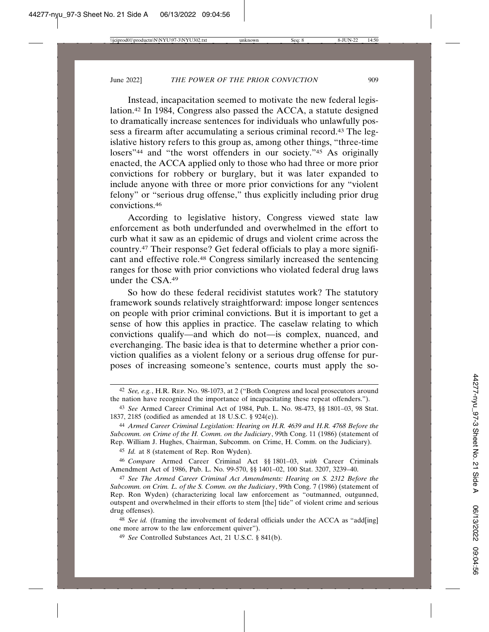Instead, incapacitation seemed to motivate the new federal legislation.42 In 1984, Congress also passed the ACCA, a statute designed to dramatically increase sentences for individuals who unlawfully possess a firearm after accumulating a serious criminal record.43 The legislative history refers to this group as, among other things, "three-time losers<sup>"44</sup> and "the worst offenders in our society."<sup>45</sup> As originally enacted, the ACCA applied only to those who had three or more prior convictions for robbery or burglary, but it was later expanded to include anyone with three or more prior convictions for any "violent felony" or "serious drug offense," thus explicitly including prior drug convictions.46

According to legislative history, Congress viewed state law enforcement as both underfunded and overwhelmed in the effort to curb what it saw as an epidemic of drugs and violent crime across the country.47 Their response? Get federal officials to play a more significant and effective role.48 Congress similarly increased the sentencing ranges for those with prior convictions who violated federal drug laws under the CSA.49

So how do these federal recidivist statutes work? The statutory framework sounds relatively straightforward: impose longer sentences on people with prior criminal convictions. But it is important to get a sense of how this applies in practice. The caselaw relating to which convictions qualify—and which do not—is complex, nuanced, and everchanging. The basic idea is that to determine whether a prior conviction qualifies as a violent felony or a serious drug offense for purposes of increasing someone's sentence, courts must apply the so-

45 *Id.* at 8 (statement of Rep. Ron Wyden).

<sup>42</sup> *See, e.g.*, H.R. REP. NO. 98-1073, at 2 ("Both Congress and local prosecutors around the nation have recognized the importance of incapacitating these repeat offenders.").

<sup>43</sup> *See* Armed Career Criminal Act of 1984, Pub. L. No. 98-473, §§ 1801–03, 98 Stat. 1837, 2185 (codified as amended at 18 U.S.C. § 924(e)).

<sup>44</sup> *Armed Career Criminal Legislation: Hearing on H.R. 4639 and H.R. 4768 Before the Subcomm. on Crime of the H. Comm. on the Judiciary*, 99th Cong. 11 (1986) (statement of Rep. William J. Hughes, Chairman, Subcomm. on Crime, H. Comm. on the Judiciary).

<sup>46</sup> *Compare* Armed Career Criminal Act §§ 1801–03, *with* Career Criminals Amendment Act of 1986, Pub. L. No. 99-570, §§ 1401–02, 100 Stat. 3207, 3239–40.

<sup>47</sup> *See The Armed Career Criminal Act Amendments: Hearing on S. 2312 Before the Subcomm. on Crim. L. of the S. Comm. on the Judiciary*, 99th Cong. 7 (1986) (statement of Rep. Ron Wyden) (characterizing local law enforcement as "outmanned, outgunned, outspent and overwhelmed in their efforts to stem [the] tide" of violent crime and serious drug offenses).

<sup>&</sup>lt;sup>48</sup> *See id.* (framing the involvement of federal officials under the ACCA as "add[ing] one more arrow to the law enforcement quiver").

<sup>49</sup> *See* Controlled Substances Act, 21 U.S.C. § 841(b).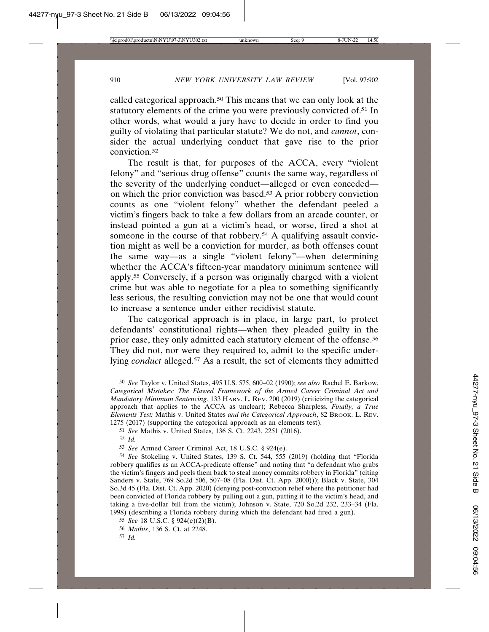called categorical approach.50 This means that we can only look at the statutory elements of the crime you were previously convicted of.51 In other words, what would a jury have to decide in order to find you guilty of violating that particular statute? We do not, and *cannot*, consider the actual underlying conduct that gave rise to the prior conviction.52

The result is that, for purposes of the ACCA, every "violent felony" and "serious drug offense" counts the same way, regardless of the severity of the underlying conduct—alleged or even conceded on which the prior conviction was based.53 A prior robbery conviction counts as one "violent felony" whether the defendant peeled a victim's fingers back to take a few dollars from an arcade counter, or instead pointed a gun at a victim's head, or worse, fired a shot at someone in the course of that robbery.<sup>54</sup> A qualifying assault conviction might as well be a conviction for murder, as both offenses count the same way—as a single "violent felony"—when determining whether the ACCA's fifteen-year mandatory minimum sentence will apply.55 Conversely, if a person was originally charged with a violent crime but was able to negotiate for a plea to something significantly less serious, the resulting conviction may not be one that would count to increase a sentence under either recidivist statute.

The categorical approach is in place, in large part, to protect defendants' constitutional rights—when they pleaded guilty in the prior case, they only admitted each statutory element of the offense.56 They did not, nor were they required to, admit to the specific underlying *conduct* alleged.57 As a result, the set of elements they admitted

<sup>50</sup> *See* Taylor v. United States, 495 U.S. 575, 600–02 (1990); *see also* Rachel E. Barkow, *Categorical Mistakes: The Flawed Framework of the Armed Career Criminal Act and Mandatory Minimum Sentencing*, 133 HARV. L. REV. 200 (2019) (criticizing the categorical approach that applies to the ACCA as unclear); Rebecca Sharpless, *Finally, a True Elements Test:* Mathis v. United States *and the Categorical Approach*, 82 BROOK. L. REV. 1275 (2017) (supporting the categorical approach as an elements test).

<sup>51</sup> *See* Mathis v. United States, 136 S. Ct. 2243, 2251 (2016).

<sup>52</sup> *Id.*

<sup>53</sup> *See* Armed Career Criminal Act, 18 U.S.C. § 924(e).

<sup>54</sup> *See* Stokeling v. United States, 139 S. Ct. 544, 555 (2019) (holding that "Florida robbery qualifies as an ACCA-predicate offense" and noting that "a defendant who grabs the victim's fingers and peels them back to steal money commits robbery in Florida" (citing Sanders v. State, 769 So.2d 506, 507–08 (Fla. Dist. Ct. App. 2000))); Black v. State, 304 So.3d 45 (Fla. Dist. Ct. App. 2020) (denying post-conviction relief where the petitioner had been convicted of Florida robbery by pulling out a gun, putting it to the victim's head, and taking a five-dollar bill from the victim); Johnson v. State, 720 So.2d 232, 233–34 (Fla. 1998) (describing a Florida robbery during which the defendant had fired a gun).

<sup>55</sup> *See* 18 U.S.C. § 924(e)(2)(B).

<sup>56</sup> *Mathis*, 136 S. Ct. at 2248.

<sup>57</sup> *Id.*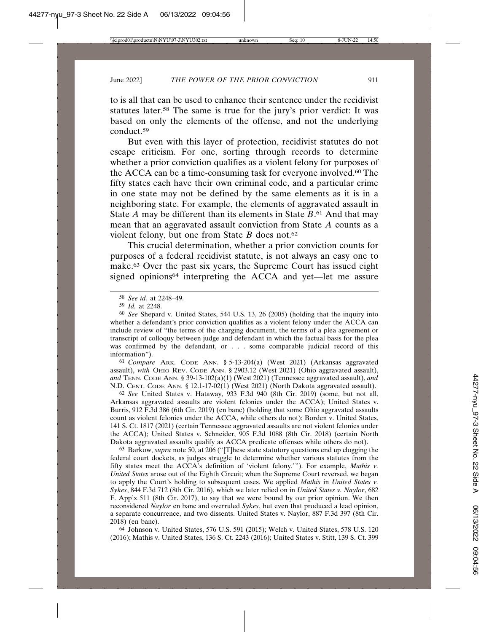to is all that can be used to enhance their sentence under the recidivist statutes later.58 The same is true for the jury's prior verdict: It was based on only the elements of the offense, and not the underlying conduct.59

But even with this layer of protection, recidivist statutes do not escape criticism. For one, sorting through records to determine whether a prior conviction qualifies as a violent felony for purposes of the ACCA can be a time-consuming task for everyone involved.<sup>60</sup> The fifty states each have their own criminal code, and a particular crime in one state may not be defined by the same elements as it is in a neighboring state. For example, the elements of aggravated assault in State *A* may be different than its elements in State *B*. 61 And that may mean that an aggravated assault conviction from State *A* counts as a violent felony, but one from State *B* does not.62

This crucial determination, whether a prior conviction counts for purposes of a federal recidivist statute, is not always an easy one to make.63 Over the past six years, the Supreme Court has issued eight signed opinions<sup>64</sup> interpreting the ACCA and yet—let me assure

61 *Compare* ARK. CODE ANN. § 5-13-204(a) (West 2021) (Arkansas aggravated assault), *with* OHIO REV. CODE ANN. § 2903.12 (West 2021) (Ohio aggravated assault), *and* TENN. CODE ANN. § 39-13-102(a)(1) (West 2021) (Tennessee aggravated assault), *and* N.D. CENT. CODE ANN. § 12.1-17-02(1) (West 2021) (North Dakota aggravated assault).

62 *See* United States v. Hataway, 933 F.3d 940 (8th Cir. 2019) (some, but not all, Arkansas aggravated assaults are violent felonies under the ACCA); United States v. Burris, 912 F.3d 386 (6th Cir. 2019) (en banc) (holding that some Ohio aggravated assaults count as violent felonies under the ACCA, while others do not); Borden v. United States, 141 S. Ct. 1817 (2021) (certain Tennessee aggravated assaults are not violent felonies under the ACCA); United States v. Schneider, 905 F.3d 1088 (8th Cir. 2018) (certain North Dakota aggravated assaults qualify as ACCA predicate offenses while others do not).

63 Barkow, *supra* note 50, at 206 ("[T]hese state statutory questions end up clogging the federal court dockets, as judges struggle to determine whether various statutes from the fifty states meet the ACCA's definition of 'violent felony.'"). For example, *Mathis v. United States* arose out of the Eighth Circuit; when the Supreme Court reversed, we began to apply the Court's holding to subsequent cases. We applied *Mathis* in *United States v. Sykes*, 844 F.3d 712 (8th Cir. 2016), which we later relied on in *United States v. Naylor*, 682 F. App'x 511 (8th Cir. 2017), to say that we were bound by our prior opinion. We then reconsidered *Naylor* en banc and overruled *Sykes*, but even that produced a lead opinion, a separate concurrence, and two dissents. United States v. Naylor, 887 F.3d 397 (8th Cir. 2018) (en banc).

64 Johnson v. United States, 576 U.S. 591 (2015); Welch v. United States, 578 U.S. 120 (2016); Mathis v. United States, 136 S. Ct. 2243 (2016); United States v. Stitt, 139 S. Ct. 399

<sup>58</sup> *See id.* at 2248–49.

<sup>59</sup> *Id.* at 2248.

<sup>60</sup> *See* Shepard v. United States, 544 U.S. 13, 26 (2005) (holding that the inquiry into whether a defendant's prior conviction qualifies as a violent felony under the ACCA can include review of "the terms of the charging document, the terms of a plea agreement or transcript of colloquy between judge and defendant in which the factual basis for the plea was confirmed by the defendant, or . . . some comparable judicial record of this information").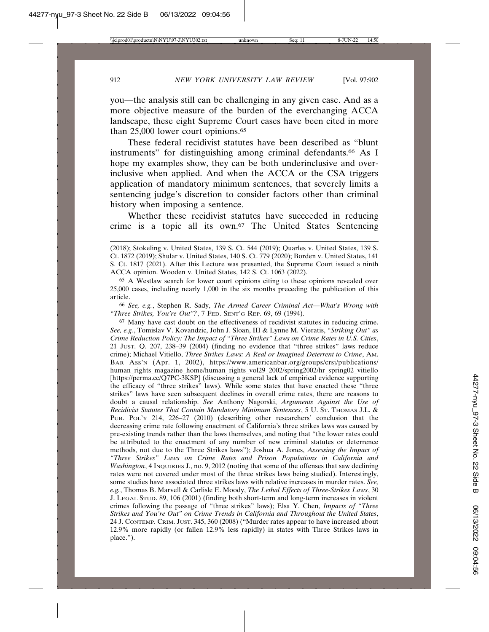you—the analysis still can be challenging in any given case. And as a more objective measure of the burden of the everchanging ACCA landscape, these eight Supreme Court cases have been cited in more than 25,000 lower court opinions.65

These federal recidivist statutes have been described as "blunt instruments" for distinguishing among criminal defendants.66 As I hope my examples show, they can be both underinclusive and overinclusive when applied. And when the ACCA or the CSA triggers application of mandatory minimum sentences, that severely limits a sentencing judge's discretion to consider factors other than criminal history when imposing a sentence.

Whether these recidivist statutes have succeeded in reducing crime is a topic all its own.67 The United States Sentencing

66 *See, e.g.*, Stephen R. Sady, *The Armed Career Criminal Act—What's Wrong with "Three Strikes, You're Out"?*, 7 FED. SENT'G REP. 69, 69 (1994).

67 Many have cast doubt on the effectiveness of recidivist statutes in reducing crime. *See, e.g.*, Tomislav V. Kovandzic, John J. Sloan, III & Lynne M. Vieratis, *"Striking Out" as Crime Reduction Policy: The Impact of "Three Strikes" Laws on Crime Rates in U.S. Cities*, 21 JUST. Q. 207, 238–39 (2004) (finding no evidence that "three strikes" laws reduce crime); Michael Vitiello, *Three Strikes Laws: A Real or Imagined Deterrent to Crime*, AM. BAR ASS'N (Apr. 1, 2002), https://www.americanbar.org/groups/crsj/publications/ human\_rights\_magazine\_home/human\_rights\_vol29\_2002/spring2002/hr\_spring02\_vitiello [https://perma.cc/Q7PC-3KSP] (discussing a general lack of empirical evidence supporting the efficacy of "three strikes" laws). While some states that have enacted these "three strikes" laws have seen subsequent declines in overall crime rates, there are reasons to doubt a causal relationship. *See* Anthony Nagorski, *Arguments Against the Use of Recidivist Statutes That Contain Mandatory Minimum Sentences*, 5 U. ST. THOMAS J.L. & PUB. POL'Y 214, 226–27 (2010) (describing other researchers' conclusion that the decreasing crime rate following enactment of California's three strikes laws was caused by pre-existing trends rather than the laws themselves, and noting that "the lower rates could be attributed to the enactment of any number of new criminal statutes or deterrence methods, not due to the Three Strikes laws"); Joshua A. Jones, *Assessing the Impact of "Three Strikes" Laws on Crime Rates and Prison Populations in California and Washington*, 4 INQUIRIES J., no. 9, 2012 (noting that some of the offenses that saw declining rates were not covered under most of the three strikes laws being studied). Interestingly, some studies have associated three strikes laws with relative increases in murder rates. *See, e.g.*, Thomas B. Marvell & Carlisle E. Moody, *The Lethal Effects of Three-Strikes Laws*, 30 J. LEGAL STUD. 89, 106 (2001) (finding both short-term and long-term increases in violent crimes following the passage of "three strikes" laws); Elsa Y. Chen, *Impacts of "Three Strikes and You're Out" on Crime Trends in California and Throughout the United States*, 24 J. CONTEMP. CRIM. JUST. 345, 360 (2008) ("Murder rates appear to have increased about 12.9% more rapidly (or fallen 12.9% less rapidly) in states with Three Strikes laws in place.").

<sup>(2018);</sup> Stokeling v. United States, 139 S. Ct. 544 (2019); Quarles v. United States, 139 S. Ct. 1872 (2019); Shular v. United States, 140 S. Ct. 779 (2020); Borden v. United States, 141 S. Ct. 1817 (2021). After this Lecture was presented, the Supreme Court issued a ninth ACCA opinion. Wooden v. United States, 142 S. Ct. 1063 (2022).

<sup>65</sup> A Westlaw search for lower court opinions citing to these opinions revealed over 25,000 cases, including nearly 1,000 in the six months preceding the publication of this article.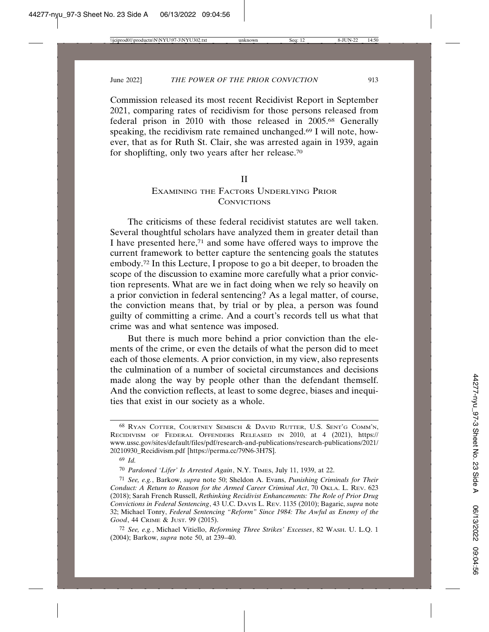Commission released its most recent Recidivist Report in September 2021, comparing rates of recidivism for those persons released from federal prison in 2010 with those released in 2005.68 Generally speaking, the recidivism rate remained unchanged.69 I will note, however, that as for Ruth St. Clair, she was arrested again in 1939, again for shoplifting, only two years after her release.70

#### II

## EXAMINING THE FACTORS UNDERLYING PRIOR **CONVICTIONS**

The criticisms of these federal recidivist statutes are well taken. Several thoughtful scholars have analyzed them in greater detail than I have presented here,71 and some have offered ways to improve the current framework to better capture the sentencing goals the statutes embody.72 In this Lecture, I propose to go a bit deeper, to broaden the scope of the discussion to examine more carefully what a prior conviction represents. What are we in fact doing when we rely so heavily on a prior conviction in federal sentencing? As a legal matter, of course, the conviction means that, by trial or by plea, a person was found guilty of committing a crime. And a court's records tell us what that crime was and what sentence was imposed.

But there is much more behind a prior conviction than the elements of the crime, or even the details of what the person did to meet each of those elements. A prior conviction, in my view, also represents the culmination of a number of societal circumstances and decisions made along the way by people other than the defendant themself. And the conviction reflects, at least to some degree, biases and inequities that exist in our society as a whole.

<sup>68</sup> RYAN COTTER, COURTNEY SEMISCH & DAVID RUTTER, U.S. SENT'G COMM'N, RECIDIVISM OF FEDERAL OFFENDERS RELEASED IN 2010, at 4 (2021), https:// www.ussc.gov/sites/default/files/pdf/research-and-publications/research-publications/2021/ 20210930\_Recidivism.pdf [https://perma.cc/79N6-3H7S].

<sup>69</sup> *Id.*

<sup>70</sup> *Pardoned 'Lifer' Is Arrested Again*, N.Y. TIMES, July 11, 1939, at 22.

<sup>71</sup> *See, e.g.*, Barkow, *supra* note 50; Sheldon A. Evans, *Punishing Criminals for Their Conduct: A Return to Reason for the Armed Career Criminal Act*, 70 OKLA. L. REV. 623 (2018); Sarah French Russell, *Rethinking Recidivist Enhancements: The Role of Prior Drug Convictions in Federal Sentencing*, 43 U.C. DAVIS L. REV. 1135 (2010); Bagaric, *supra* note 32; Michael Tonry, *Federal Sentencing "Reform" Since 1984: The Awful as Enemy of the Good*, 44 CRIME & JUST. 99 (2015).

<sup>72</sup> *See, e.g.*, Michael Vitiello, *Reforming Three Strikes' Excesses*, 82 WASH. U. L.Q. 1 (2004); Barkow, *supra* note 50, at 239–40.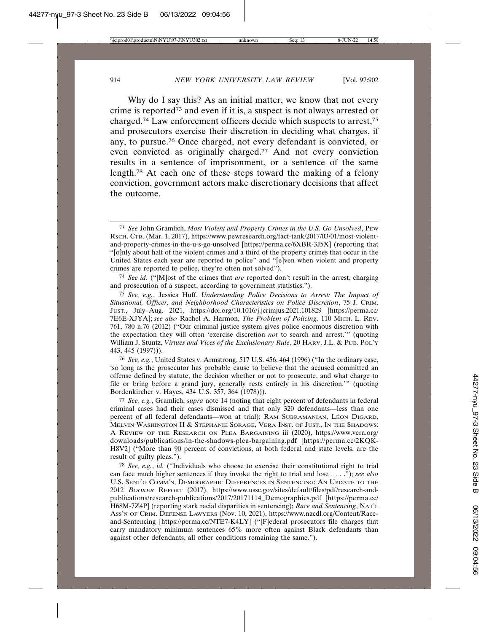Why do I say this? As an initial matter, we know that not every crime is reported73 and even if it is, a suspect is not always arrested or charged.74 Law enforcement officers decide which suspects to arrest,75 and prosecutors exercise their discretion in deciding what charges, if any, to pursue.76 Once charged, not every defendant is convicted, or even convicted as originally charged.77 And not every conviction results in a sentence of imprisonment, or a sentence of the same length.78 At each one of these steps toward the making of a felony conviction, government actors make discretionary decisions that affect the outcome.

74 *See id.* ("[M]ost of the crimes that *are* reported don't result in the arrest, charging and prosecution of a suspect, according to government statistics.").

75 *See, e.g.*, Jessica Huff, *Understanding Police Decisions to Arrest: The Impact of Situational, Officer, and Neighborhood Characteristics on Police Discretion*, 75 J. CRIM. JUST., July–Aug. 2021, https://doi.org/10.1016/j.jcrimjus.2021.101829 [https://perma.cc/ 7E6E-XJYA]; *see also* Rachel A. Harmon, *The Problem of Policing*, 110 MICH. L. REV. 761, 780 n.76 (2012) ("Our criminal justice system gives police enormous discretion with the expectation they will often 'exercise discretion *not* to search and arrest.'" (quoting William J. Stuntz, *Virtues and Vices of the Exclusionary Rule*, 20 HARV. J.L. & PUB. POL'Y 443, 445 (1997))).

76 *See, e.g.*, United States v. Armstrong, 517 U.S. 456, 464 (1996) ("In the ordinary case, 'so long as the prosecutor has probable cause to believe that the accused committed an offense defined by statute, the decision whether or not to prosecute, and what charge to file or bring before a grand jury, generally rests entirely in his discretion.'" (quoting Bordenkircher v. Hayes, 434 U.S. 357, 364 (1978))).

77 *See, e.g.*, Gramlich, *supra* note 14 (noting that eight percent of defendants in federal criminal cases had their cases dismissed and that only 320 defendants—less than one percent of all federal defendants—won at trial); RAM SUBRAMANIAN, LÉON DIGARD, MELVIN WASHINGTON II & STEPHANIE SORAGE, VERA INST. OF JUST., IN THE SHADOWS: A REVIEW OF THE RESEARCH ON PLEA BARGAINING iii (2020), https://www.vera.org/ downloads/publications/in-the-shadows-plea-bargaining.pdf [https://perma.cc/2KQK-H8V2] ("More than 90 percent of convictions, at both federal and state levels, are the result of guilty pleas.").

78 *See, e.g.*, *id.* ("Individuals who choose to exercise their constitutional right to trial can face much higher sentences if they invoke the right to trial and lose . . . ."); *see also* U.S. SENT'G COMM'N, DEMOGRAPHIC DIFFERENCES IN SENTENCING: AN UPDATE TO THE 2012 <sup>B</sup>OOKER REPORT (2017), https://www.ussc.gov/sites/default/files/pdf/research-andpublications/research-publications/2017/20171114\_Demographics.pdf [https://perma.cc/ H68M-7Z4P] (reporting stark racial disparities in sentencing); *Race and Sentencing*, NAT'L ASS'N OF CRIM. DEFENSE LAWYERS (Nov. 10, 2021), https://www.nacdl.org/Content/Raceand-Sentencing [https://perma.cc/NTE7-K4LY] ("[F]ederal prosecutors file charges that carry mandatory minimum sentences 65% more often against Black defendants than against other defendants, all other conditions remaining the same.").

<sup>73</sup> *See* John Gramlich, *Most Violent and Property Crimes in the U.S. Go Unsolved*, PEW RSCH. CTR. (Mar. 1, 2017), https://www.pewresearch.org/fact-tank/2017/03/01/most-violentand-property-crimes-in-the-u-s-go-unsolved [https://perma.cc/6XBR-3J5X] (reporting that "[o]nly about half of the violent crimes and a third of the property crimes that occur in the United States each year are reported to police" and "[e]ven when violent and property crimes are reported to police, they're often not solved").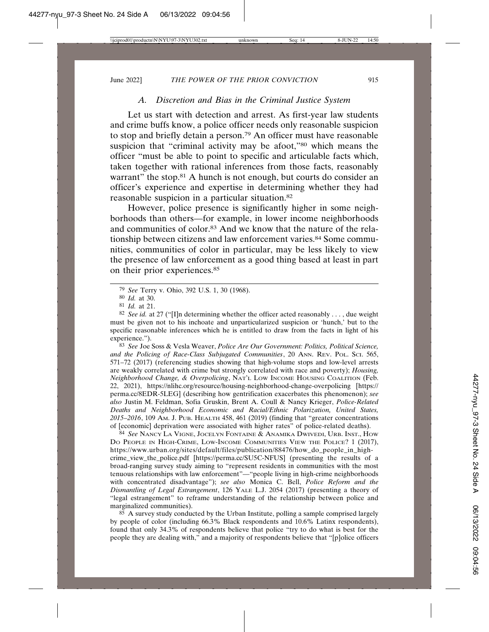### *A. Discretion and Bias in the Criminal Justice System*

Let us start with detection and arrest. As first-year law students and crime buffs know, a police officer needs only reasonable suspicion to stop and briefly detain a person.79 An officer must have reasonable suspicion that "criminal activity may be afoot,"<sup>80</sup> which means the officer "must be able to point to specific and articulable facts which, taken together with rational inferences from those facts, reasonably warrant" the stop.<sup>81</sup> A hunch is not enough, but courts do consider an officer's experience and expertise in determining whether they had reasonable suspicion in a particular situation.82

However, police presence is significantly higher in some neighborhoods than others—for example, in lower income neighborhoods and communities of color.<sup>83</sup> And we know that the nature of the relationship between citizens and law enforcement varies.<sup>84</sup> Some communities, communities of color in particular, may be less likely to view the presence of law enforcement as a good thing based at least in part on their prior experiences.85

82 *See id.* at 27 ("[I]n determining whether the officer acted reasonably . . . , due weight must be given not to his inchoate and unparticularized suspicion or 'hunch,' but to the specific reasonable inferences which he is entitled to draw from the facts in light of his experience.").

83 *See* Joe Soss & Vesla Weaver, *Police Are Our Government: Politics, Political Science, and the Policing of Race-Class Subjugated Communities*, 20 ANN. REV. POL. SCI. 565, 571–72 (2017) (referencing studies showing that high-volume stops and low-level arrests are weakly correlated with crime but strongly correlated with race and poverty); *Housing, Neighborhood Change, & Overpolicing*, NAT'L LOW INCOME HOUSING COALITION (Feb. 22, 2021), https://nlihc.org/resource/housing-neighborhood-change-overpolicing [https:// perma.cc/8EDR-5LEG] (describing how gentrification exacerbates this phenomenon); *see also* Justin M. Feldman, Sofia Gruskin, Brent A. Coull & Nancy Krieger, *Police-Related Deaths and Neighborhood Economic and Racial/Ethnic Polarization, United States, 2015–2016*, 109 AM. J. PUB. HEALTH 458, 461 (2019) (finding that "greater concentrations of [economic] deprivation were associated with higher rates" of police-related deaths).

84 *See* NANCY LA VIGNE, JOCELYN FONTAINE & ANAMIKA DWIVEDI, URB. INST., HOW DO PEOPLE IN HIGH-CRIME, LOW-INCOME COMMUNITIES VIEW THE POLICE? 1 (2017), https://www.urban.org/sites/default/files/publication/88476/how\_do\_people\_in\_highcrime\_view\_the\_police.pdf [https://perma.cc/SU5C-NFUS] (presenting the results of a broad-ranging survey study aiming to "represent residents in communities with the most tenuous relationships with law enforcement"—"people living in high-crime neighborhoods with concentrated disadvantage"); *see also* Monica C. Bell, *Police Reform and the Dismantling of Legal Estrangement*, 126 YALE L.J. 2054 (2017) (presenting a theory of "legal estrangement" to reframe understanding of the relationship between police and marginalized communities).

<sup>85</sup> A survey study conducted by the Urban Institute, polling a sample comprised largely by people of color (including 66.3% Black respondents and 10.6% Latinx respondents), found that only 34.3% of respondents believe that police "try to do what is best for the people they are dealing with," and a majority of respondents believe that "[p]olice officers

<sup>79</sup> *See* Terry v. Ohio, 392 U.S. 1, 30 (1968).

<sup>80</sup> *Id.* at 30.

<sup>81</sup> *Id.* at 21.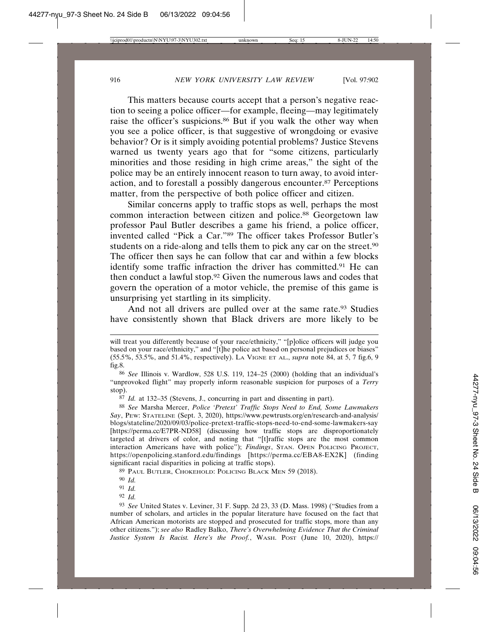This matters because courts accept that a person's negative reaction to seeing a police officer—for example, fleeing—may legitimately raise the officer's suspicions.86 But if you walk the other way when you see a police officer, is that suggestive of wrongdoing or evasive behavior? Or is it simply avoiding potential problems? Justice Stevens warned us twenty years ago that for "some citizens, particularly minorities and those residing in high crime areas," the sight of the police may be an entirely innocent reason to turn away, to avoid interaction, and to forestall a possibly dangerous encounter.87 Perceptions matter, from the perspective of both police officer and citizen.

Similar concerns apply to traffic stops as well, perhaps the most common interaction between citizen and police.88 Georgetown law professor Paul Butler describes a game his friend, a police officer, invented called "Pick a Car."89 The officer takes Professor Butler's students on a ride-along and tells them to pick any car on the street.<sup>90</sup> The officer then says he can follow that car and within a few blocks identify some traffic infraction the driver has committed.<sup>91</sup> He can then conduct a lawful stop.92 Given the numerous laws and codes that govern the operation of a motor vehicle, the premise of this game is unsurprising yet startling in its simplicity.

And not all drivers are pulled over at the same rate.<sup>93</sup> Studies have consistently shown that Black drivers are more likely to be

will treat you differently because of your race/ethnicity," "[p]olice officers will judge you based on your race/ethnicity," and "[t]he police act based on personal prejudices or biases" (55.5%, 53.5%, and 51.4%, respectively). LA VIGNE ET AL., *supra* note 84, at 5, 7 fig.6, 9 fig.8.

<sup>86</sup> *See* Illinois v. Wardlow, 528 U.S. 119, 124–25 (2000) (holding that an individual's "unprovoked flight" may properly inform reasonable suspicion for purposes of a *Terry* stop).

<sup>87</sup> *Id.* at 132–35 (Stevens, J., concurring in part and dissenting in part).

<sup>88</sup> *See* Marsha Mercer, *Police 'Pretext' Traffic Stops Need to End, Some Lawmakers Say*, PEW: STATELINE (Sept. 3, 2020), https://www.pewtrusts.org/en/research-and-analysis/ blogs/stateline/2020/09/03/police-pretext-traffic-stops-need-to-end-some-lawmakers-say [https://perma.cc/E7PR-ND58] (discussing how traffic stops are disproportionately targeted at drivers of color, and noting that "[t]raffic stops are the most common interaction Americans have with police"); *Findings*, STAN. OPEN POLICING PROJECT, https://openpolicing.stanford.edu/findings [https://perma.cc/EBA8-EX2K] (finding significant racial disparities in policing at traffic stops).

<sup>89</sup> PAUL BUTLER, CHOKEHOLD: POLICING BLACK MEN 59 (2018).

<sup>90</sup> *Id.*

<sup>91</sup> *Id.*

<sup>92</sup> *Id.*

<sup>93</sup> *See* United States v. Leviner, 31 F. Supp. 2d 23, 33 (D. Mass. 1998) ("Studies from a number of scholars, and articles in the popular literature have focused on the fact that African American motorists are stopped and prosecuted for traffic stops, more than any other citizens."); *see also* Radley Balko, *There's Overwhelming Evidence That the Criminal Justice System Is Racist. Here's the Proof.*, WASH. POST (June 10, 2020), https://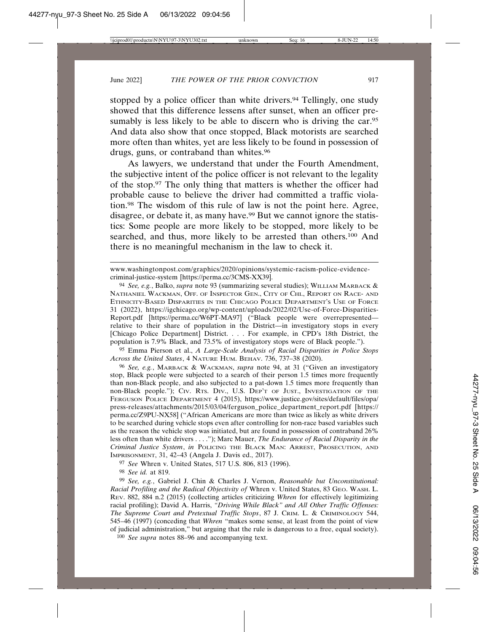stopped by a police officer than white drivers.<sup>94</sup> Tellingly, one study showed that this difference lessens after sunset, when an officer presumably is less likely to be able to discern who is driving the car.<sup>95</sup> And data also show that once stopped, Black motorists are searched more often than whites, yet are less likely to be found in possession of drugs, guns, or contraband than whites.<sup>96</sup>

As lawyers, we understand that under the Fourth Amendment, the subjective intent of the police officer is not relevant to the legality of the stop.97 The only thing that matters is whether the officer had probable cause to believe the driver had committed a traffic violation.98 The wisdom of this rule of law is not the point here. Agree, disagree, or debate it, as many have.<sup>99</sup> But we cannot ignore the statistics: Some people are more likely to be stopped, more likely to be searched, and thus, more likely to be arrested than others.<sup>100</sup> And there is no meaningful mechanism in the law to check it.

95 Emma Pierson et al., *A Large-Scale Analysis of Racial Disparities in Police Stops Across the United States*, 4 NATURE HUM. BEHAV. 736, 737–38 (2020).

96 *See, e.g.*, MARBACK & WACKMAN, *supra* note 94, at 31 ("Given an investigatory stop, Black people were subjected to a search of their person 1.5 times more frequently than non-Black people, and also subjected to a pat-down 1.5 times more frequently than non-Black people."); CIV. RTS. DIV., U.S. DEP'T OF JUST., INVESTIGATION OF THE FERGUSON POLICE DEPARTMENT 4 (2015), https://www.justice.gov/sites/default/files/opa/ press-releases/attachments/2015/03/04/ferguson\_police\_department\_report.pdf [https:// perma.cc/Z9PU-NX58] ("African Americans are more than twice as likely as white drivers to be searched during vehicle stops even after controlling for non-race based variables such as the reason the vehicle stop was initiated, but are found in possession of contraband 26% less often than white drivers . . . ."); Marc Mauer, *The Endurance of Racial Disparity in the Criminal Justice System*, *in* POLICING THE BLACK MAN: ARREST, PROSECUTION, AND IMPRISONMENT, 31, 42–43 (Angela J. Davis ed., 2017).

97 *See* Whren v. United States, 517 U.S. 806, 813 (1996).

98 *See id.* at 819.

99 *See, e.g.*, Gabriel J. Chin & Charles J. Vernon, *Reasonable but Unconstitutional: Racial Profiling and the Radical Objectivity of* Whren v. United States, 83 GEO. WASH. L. REV. 882, 884 n.2 (2015) (collecting articles criticizing *Whren* for effectively legitimizing racial profiling); David A. Harris, *"Driving While Black" and All Other Traffic Offenses: The Supreme Court and Pretextual Traffic Stops*, 87 J. CRIM. L. & CRIMINOLOGY 544, 545–46 (1997) (conceding that *Whren* "makes some sense, at least from the point of view of judicial administration," but arguing that the rule is dangerous to a free, equal society).

100 *See supra* notes 88–96 and accompanying text.

www.washingtonpost.com/graphics/2020/opinions/systemic-racism-police-evidencecriminal-justice-system [https://perma.cc/3CMS-XX39].

<sup>94</sup> *See, e.g.*, Balko, *supra* note 93 (summarizing several studies); WILLIAM MARBACK & NATHANIEL WACKMAN, OFF. OF INSPECTOR GEN., CITY OF CHI., REPORT ON RACE- AND ETHNICITY-BASED DISPARITIES IN THE CHICAGO POLICE DEPARTMENT'S USE OF FORCE 31 (2022), https://igchicago.org/wp-content/uploads/2022/02/Use-of-Force-Disparities-Report.pdf [https://perma.cc/W6PT-MA97] ("Black people were overrepresented relative to their share of population in the District—in investigatory stops in every [Chicago Police Department] District. . . . For example, in CPD's 18th District, the population is 7.9% Black, and 73.5% of investigatory stops were of Black people.").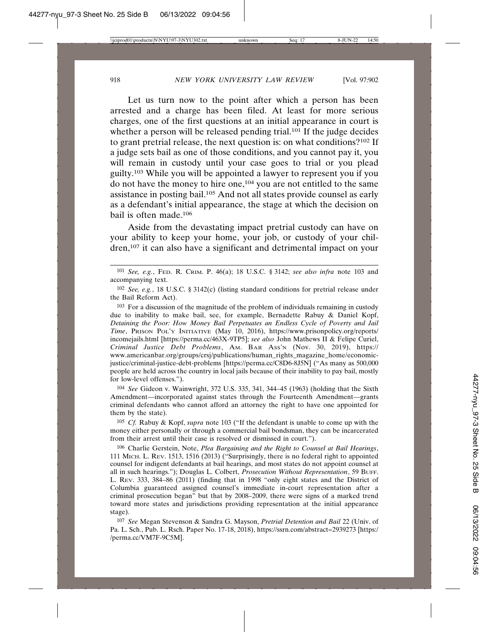Let us turn now to the point after which a person has been arrested and a charge has been filed. At least for more serious charges, one of the first questions at an initial appearance in court is whether a person will be released pending trial.<sup>101</sup> If the judge decides to grant pretrial release, the next question is: on what conditions?102 If a judge sets bail as one of those conditions, and you cannot pay it, you will remain in custody until your case goes to trial or you plead guilty.103 While you will be appointed a lawyer to represent you if you do not have the money to hire one,104 you are not entitled to the same assistance in posting bail.105 And not all states provide counsel as early as a defendant's initial appearance, the stage at which the decision on bail is often made.106

Aside from the devastating impact pretrial custody can have on your ability to keep your home, your job, or custody of your children,107 it can also have a significant and detrimental impact on your

103 For a discussion of the magnitude of the problem of individuals remaining in custody due to inability to make bail, see, for example, Bernadette Rabuy & Daniel Kopf, *Detaining the Poor: How Money Bail Perpetuates an Endless Cycle of Poverty and Jail Time*, PRISON POL'Y INITIATIVE (May 10, 2016), https://www.prisonpolicy.org/reports/ incomejails.html [https://perma.cc/463X-9TP5]; *see also* John Mathews II & Felipe Curiel, *Criminal Justice Debt Problems*, AM. BAR ASS'N (Nov. 30, 2019), https:// www.americanbar.org/groups/crsj/publications/human\_rights\_magazine\_home/economicjustice/criminal-justice-debt-problems [https://perma.cc/C8D6-8J5N] ("As many as 500,000 people are held across the country in local jails because of their inability to pay bail, mostly for low-level offenses.").

104 *See* Gideon v. Wainwright, 372 U.S. 335, 341, 344–45 (1963) (holding that the Sixth Amendment—incorporated against states through the Fourteenth Amendment—grants criminal defendants who cannot afford an attorney the right to have one appointed for them by the state).

105 *Cf.* Rabuy & Kopf, *supra* note 103 ("If the defendant is unable to come up with the money either personally or through a commercial bail bondsman, they can be incarcerated from their arrest until their case is resolved or dismissed in court.").

106 Charlie Gerstein, Note, *Plea Bargaining and the Right to Counsel at Bail Hearings*, 111 MICH. L. REV. 1513, 1516 (2013) ("Surprisingly, there is no federal right to appointed counsel for indigent defendants at bail hearings, and most states do not appoint counsel at all in such hearings."); Douglas L. Colbert, *Prosecution Without Representation*, 59 BUFF. L. REV. 333, 384–86 (2011) (finding that in 1998 "only eight states and the District of Columbia guaranteed assigned counsel's immediate in-court representation after a criminal prosecution began" but that by 2008–2009, there were signs of a marked trend toward more states and jurisdictions providing representation at the initial appearance stage).

107 *See* Megan Stevenson & Sandra G. Mayson, *Pretrial Detention and Bail* 22 (Univ. of Pa. L. Sch., Pub. L. Rsch. Paper No. 17-18, 2018), https://ssrn.com/abstract=2939273 [https:/ /perma.cc/VM7F-9C5M].

<sup>101</sup> *See, e.g.*, FED. R. CRIM. P. 46(a); 18 U.S.C. § 3142; *see also infra* note 103 and accompanying text.

<sup>102</sup> *See, e.g.*, 18 U.S.C. § 3142(c) (listing standard conditions for pretrial release under the Bail Reform Act).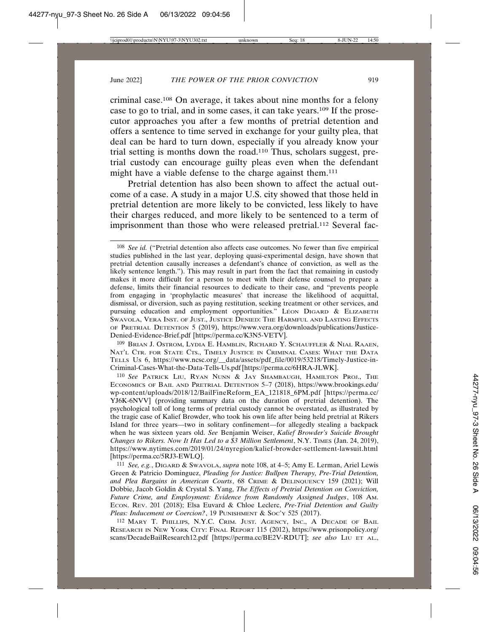criminal case.108 On average, it takes about nine months for a felony case to go to trial, and in some cases, it can take years.109 If the prosecutor approaches you after a few months of pretrial detention and offers a sentence to time served in exchange for your guilty plea, that deal can be hard to turn down, especially if you already know your trial setting is months down the road.110 Thus, scholars suggest, pretrial custody can encourage guilty pleas even when the defendant might have a viable defense to the charge against them.111

Pretrial detention has also been shown to affect the actual outcome of a case. A study in a major U.S. city showed that those held in pretrial detention are more likely to be convicted, less likely to have their charges reduced, and more likely to be sentenced to a term of imprisonment than those who were released pretrial.<sup>112</sup> Several fac-

109 BRIAN J. OSTROM, LYDIA E. HAMBLIN, RICHARD Y. SCHAUFFLER & NIAL RAAEN, NAT'L CTR. FOR STATE CTS., TIMELY JUSTICE IN CRIMINAL CASES: WHAT THE DATA TELLS US 6, https://www.ncsc.org/\_\_data/assets/pdf\_file/0019/53218/Timely-Justice-in-Criminal-Cases-What-the-Data-Tells-Us.pdf [https://perma.cc/6HRA-JLWK].

110 *See* PATRICK LIU, RYAN NUNN & JAY SHAMBAUGH, HAMILTON PROJ., THE ECONOMICS OF BAIL AND PRETRIAL DETENTION 5–7 (2018), https://www.brookings.edu/ wp-content/uploads/2018/12/BailFineReform\_EA\_121818\_6PM.pdf [https://perma.cc/ YJ6K-6NVV] (providing summary data on the duration of pretrial detention). The psychological toll of long terms of pretrial custody cannot be overstated, as illustrated by the tragic case of Kalief Browder, who took his own life after being held pretrial at Rikers Island for three years—two in solitary confinement—for allegedly stealing a backpack when he was sixteen years old. *See* Benjamin Weiser, *Kalief Browder's Suicide Brought Changes to Rikers. Now It Has Led to a \$3 Million Settlement*, N.Y. TIMES (Jan. 24, 2019), https://www.nytimes.com/2019/01/24/nyregion/kalief-browder-settlement-lawsuit.html [https://perma.cc/5RJ3-EWLQ].

111 *See, e.g.*, DIGARD & SWAVOLA, *supra* note 108, at 4–5; Amy E. Lerman, Ariel Lewis Green & Patricio Dominguez, *Pleading for Justice: Bullpen Therapy, Pre-Trial Detention, and Plea Bargains in American Courts*, 68 CRIME & DELINQUENCY 159 (2021); Will Dobbie, Jacob Goldin & Crystal S. Yang, *The Effects of Pretrial Detention on Conviction, Future Crime, and Employment: Evidence from Randomly Assigned Judges*, 108 AM. ECON. REV. 201 (2018); Elsa Euvard & Chloe Leclerc, *Pre-Trial Detention and Guilty* Pleas: Inducement or Coercion?, 19 PUNISHMENT & Soc'y 525 (2017).

112 MARY T. PHILLIPS, N.Y.C. CRIM. JUST. AGENCY, INC., A DECADE OF BAIL RESEARCH IN NEW YORK CITY: FINAL REPORT 115 (2012), https://www.prisonpolicy.org/ scans/DecadeBailResearch12.pdf [https://perma.cc/BE2V-RDUT]; *see also* LIU ET AL.,

<sup>108</sup> *See id.* ("Pretrial detention also affects case outcomes. No fewer than five empirical studies published in the last year, deploying quasi-experimental design, have shown that pretrial detention causally increases a defendant's chance of conviction, as well as the likely sentence length."). This may result in part from the fact that remaining in custody makes it more difficult for a person to meet with their defense counsel to prepare a defense, limits their financial resources to dedicate to their case, and "prevents people from engaging in 'prophylactic measures' that increase the likelihood of acquittal, dismissal, or diversion, such as paying restitution, seeking treatment or other services, and pursuing education and employment opportunities." LEON  $\overline{D}$  LGARD & ELIZABETH SWAVOLA, VERA INST. OF JUST., JUSTICE DENIED: THE HARMFUL AND LASTING EFFECTS OF PRETRIAL DETENTION 5 (2019), https://www.vera.org/downloads/publications/Justice-Denied-Evidence-Brief.pdf [https://perma.cc/K3N5-VETV].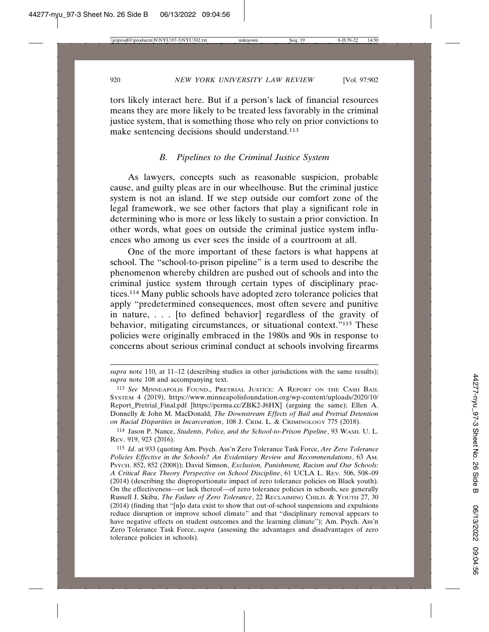tors likely interact here. But if a person's lack of financial resources means they are more likely to be treated less favorably in the criminal justice system, that is something those who rely on prior convictions to make sentencing decisions should understand.113

### *B. Pipelines to the Criminal Justice System*

As lawyers, concepts such as reasonable suspicion, probable cause, and guilty pleas are in our wheelhouse. But the criminal justice system is not an island. If we step outside our comfort zone of the legal framework, we see other factors that play a significant role in determining who is more or less likely to sustain a prior conviction. In other words, what goes on outside the criminal justice system influences who among us ever sees the inside of a courtroom at all.

One of the more important of these factors is what happens at school. The "school-to-prison pipeline" is a term used to describe the phenomenon whereby children are pushed out of schools and into the criminal justice system through certain types of disciplinary practices.114 Many public schools have adopted zero tolerance policies that apply "predetermined consequences, most often severe and punitive in nature, . . . [to defined behavior] regardless of the gravity of behavior, mitigating circumstances, or situational context."115 These policies were originally embraced in the 1980s and 90s in response to concerns about serious criminal conduct at schools involving firearms

*supra* note 110, at 11–12 (describing studies in other jurisdictions with the same results); *supra* note 108 and accompanying text.

<sup>113</sup> *See* MINNEAPOLIS FOUND., PRETRIAL JUSTICE: A REPORT ON THE CASH BAIL SYSTEM 4 (2019), https://www.minneapolisfoundation.org/wp-content/uploads/2020/10/ Report\_Pretrial\_Final.pdf [https://perma.cc/ZBK2-J6HX] (arguing the same); Ellen A. Donnelly & John M. MacDonald, *The Downstream Effects of Bail and Pretrial Detention on Racial Disparities in Incarceration*, 108 J. CRIM. L. & CRIMINOLOGY 775 (2018).

<sup>114</sup> Jason P. Nance, *Students, Police, and the School-to-Prison Pipeline*, 93 WASH. U. L. REV. 919, 923 (2016).

<sup>115</sup> *Id.* at 933 (quoting Am. Psych. Ass'n Zero Tolerance Task Force, *Are Zero Tolerance Policies Effective in the Schools? An Evidentiary Review and Recommendations*, 63 AM. PSYCH. 852, 852 (2008)); David Simson, *Exclusion, Punishment, Racism and Our Schools: A Critical Race Theory Perspective on School Discipline*, 61 UCLA L. REV. 506, 508–09 (2014) (describing the disproportionate impact of zero tolerance policies on Black youth). On the effectiveness—or lack thereof—of zero tolerance policies in schools, see generally Russell J. Skiba, *The Failure of Zero Tolerance*, 22 RECLAIMING CHILD. & YOUTH 27, 30 (2014) (finding that "[n]o data exist to show that out-of-school suspensions and expulsions reduce disruption or improve school climate" and that "disciplinary removal appears to have negative effects on student outcomes and the learning climate"); Am. Psych. Ass'n Zero Tolerance Task Force, *supra* (assessing the advantages and disadvantages of zero tolerance policies in schools).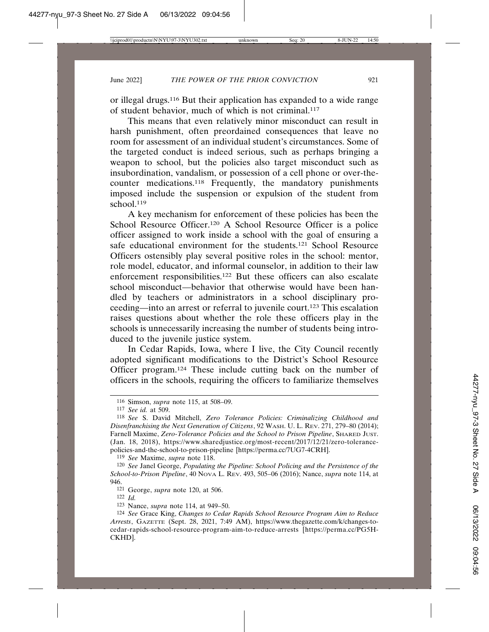or illegal drugs.116 But their application has expanded to a wide range of student behavior, much of which is not criminal.117

This means that even relatively minor misconduct can result in harsh punishment, often preordained consequences that leave no room for assessment of an individual student's circumstances. Some of the targeted conduct is indeed serious, such as perhaps bringing a weapon to school, but the policies also target misconduct such as insubordination, vandalism, or possession of a cell phone or over-thecounter medications.118 Frequently, the mandatory punishments imposed include the suspension or expulsion of the student from school.<sup>119</sup>

A key mechanism for enforcement of these policies has been the School Resource Officer.<sup>120</sup> A School Resource Officer is a police officer assigned to work inside a school with the goal of ensuring a safe educational environment for the students.<sup>121</sup> School Resource Officers ostensibly play several positive roles in the school: mentor, role model, educator, and informal counselor, in addition to their law enforcement responsibilities.122 But these officers can also escalate school misconduct—behavior that otherwise would have been handled by teachers or administrators in a school disciplinary proceeding—into an arrest or referral to juvenile court.123 This escalation raises questions about whether the role these officers play in the schools is unnecessarily increasing the number of students being introduced to the juvenile justice system.

In Cedar Rapids, Iowa, where I live, the City Council recently adopted significant modifications to the District's School Resource Officer program.124 These include cutting back on the number of officers in the schools, requiring the officers to familiarize themselves

119 *See* Maxime, *supra* note 118.

<sup>116</sup> Simson, *supra* note 115, at 508–09.

<sup>117</sup> *See id.* at 509.

<sup>118</sup> *See* S. David Mitchell, *Zero Tolerance Policies: Criminalizing Childhood and Disenfranchising the Next Generation of Citizens*, 92 WASH. U. L. REV. 271, 279–80 (2014); Farnell Maxime, *Zero-Tolerance Policies and the School to Prison Pipeline*, SHARED JUST. (Jan. 18, 2018), https://www.sharedjustice.org/most-recent/2017/12/21/zero-tolerancepolicies-and-the-school-to-prison-pipeline [https://perma.cc/7UG7-4CRH].

<sup>120</sup> *See* Janel George, *Populating the Pipeline: School Policing and the Persistence of the School-to-Prison Pipeline*, 40 NOVA L. REV. 493, 505–06 (2016); Nance, *supra* note 114, at 946.

<sup>121</sup> George, *supra* note 120, at 506.

<sup>122</sup> *Id.*

<sup>123</sup> Nance, *supra* note 114, at 949–50.

<sup>124</sup> *See* Grace King, *Changes to Cedar Rapids School Resource Program Aim to Reduce Arrests*, GAZETTE (Sept. 28, 2021, 7:49 AM), https://www.thegazette.com/k/changes-tocedar-rapids-school-resource-program-aim-to-reduce-arrests [https://perma.cc/PG5H-CKHD].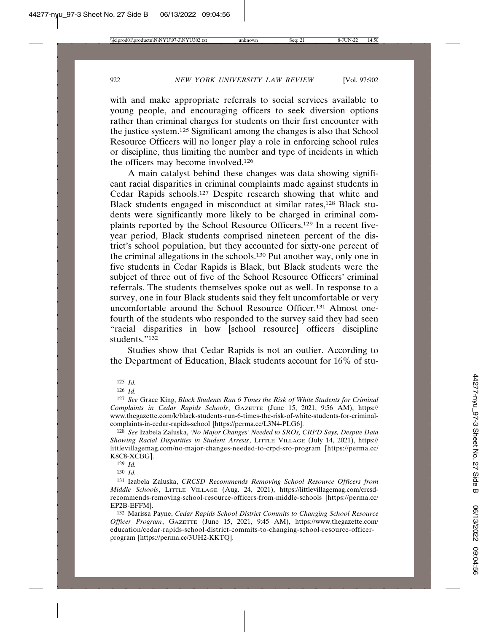with and make appropriate referrals to social services available to young people, and encouraging officers to seek diversion options rather than criminal charges for students on their first encounter with the justice system.125 Significant among the changes is also that School Resource Officers will no longer play a role in enforcing school rules or discipline, thus limiting the number and type of incidents in which the officers may become involved.126

A main catalyst behind these changes was data showing significant racial disparities in criminal complaints made against students in Cedar Rapids schools.127 Despite research showing that white and Black students engaged in misconduct at similar rates,<sup>128</sup> Black students were significantly more likely to be charged in criminal complaints reported by the School Resource Officers.129 In a recent fiveyear period, Black students comprised nineteen percent of the district's school population, but they accounted for sixty-one percent of the criminal allegations in the schools.130 Put another way, only one in five students in Cedar Rapids is Black, but Black students were the subject of three out of five of the School Resource Officers' criminal referrals. The students themselves spoke out as well. In response to a survey, one in four Black students said they felt uncomfortable or very uncomfortable around the School Resource Officer.131 Almost onefourth of the students who responded to the survey said they had seen "racial disparities in how [school resource] officers discipline students."132

Studies show that Cedar Rapids is not an outlier. According to the Department of Education, Black students account for 16% of stu-

130 *Id.*

<sup>125</sup> *Id.*

<sup>126</sup> *Id.*

<sup>127</sup> *See* Grace King, *Black Students Run 6 Times the Risk of White Students for Criminal Complaints in Cedar Rapids Schools*, GAZETTE (June 15, 2021, 9:56 AM), https:// www.thegazette.com/k/black-students-run-6-times-the-risk-of-white-students-for-criminalcomplaints-in-cedar-rapids-school [https://perma.cc/L3N4-PLG6].

<sup>128</sup> *See* Izabela Zaluska, *'No Major Changes' Needed to SROs, CRPD Says, Despite Data Showing Racial Disparities in Student Arrests*, LITTLE VILLAGE (July 14, 2021), https:// littlevillagemag.com/no-major-changes-needed-to-crpd-sro-program [https://perma.cc/ K8C8-XCBG].

<sup>129</sup> *Id.*

<sup>131</sup> Izabela Zaluska, *CRCSD Recommends Removing School Resource Officers from Middle Schools*, LITTLE VILLAGE (Aug. 24, 2021), https://littlevillagemag.com/crcsdrecommends-removing-school-resource-officers-from-middle-schools [https://perma.cc/ EP2B-EFFM].

<sup>132</sup> Marissa Payne, *Cedar Rapids School District Commits to Changing School Resource Officer Program*, GAZETTE (June 15, 2021, 9:45 AM), https://www.thegazette.com/ education/cedar-rapids-school-district-commits-to-changing-school-resource-officerprogram [https://perma.cc/3UH2-KKTQ].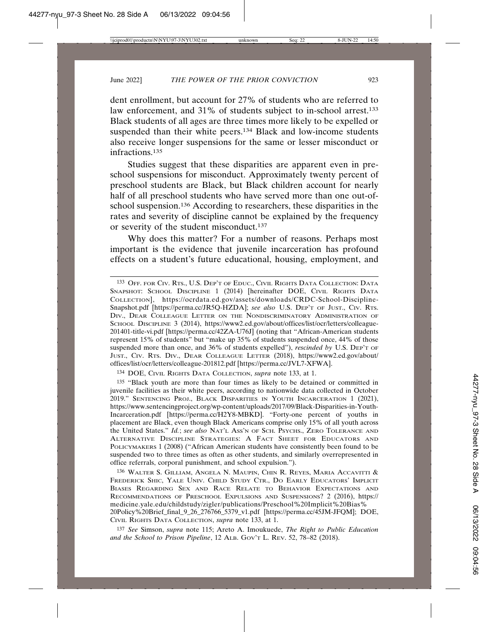dent enrollment, but account for 27% of students who are referred to law enforcement, and 31% of students subject to in-school arrest.<sup>133</sup> Black students of all ages are three times more likely to be expelled or suspended than their white peers.134 Black and low-income students also receive longer suspensions for the same or lesser misconduct or infractions.135

Studies suggest that these disparities are apparent even in preschool suspensions for misconduct. Approximately twenty percent of preschool students are Black, but Black children account for nearly half of all preschool students who have served more than one out-ofschool suspension.136 According to researchers, these disparities in the rates and severity of discipline cannot be explained by the frequency or severity of the student misconduct.137

Why does this matter? For a number of reasons. Perhaps most important is the evidence that juvenile incarceration has profound effects on a student's future educational, housing, employment, and

134 DOE, CIVIL RIGHTS DATA COLLECTION, *supra* note 133, at 1.

135 "Black youth are more than four times as likely to be detained or committed in juvenile facilities as their white peers, according to nationwide data collected in October 2019." SENTENCING PROJ., BLACK DISPARITIES IN YOUTH INCARCERATION 1 (2021), https://www.sentencingproject.org/wp-content/uploads/2017/09/Black-Disparities-in-Youth-Incarceration.pdf [https://perma.cc/H2Y8-MBKD]. "Forty-one percent of youths in placement are Black, even though Black Americans comprise only 15% of all youth across the United States." *Id.*; *see also* NAT'L ASS'N OF SCH. PSYCHS., ZERO TOLERANCE AND ALTERNATIVE DISCIPLINE STRATEGIES: A FACT SHEET FOR EDUCATORS AND POLICYMAKERS 1 (2008) ("African American students have consistently been found to be suspended two to three times as often as other students, and similarly overrepresented in office referrals, corporal punishment, and school expulsion.").

136 WALTER S. GILLIAM, ANGELA N. MAUPIN, CHIN R. REYES, MARIA ACCAVITTI & FREDERICK SHIC, YALE UNIV. CHILD STUDY CTR., DO EARLY EDUCATORS' IMPLICIT BIASES REGARDING SEX AND RACE RELATE TO BEHAVIOR EXPECTATIONS AND RECOMMENDATIONS OF PRESCHOOL EXPULSIONS AND SUSPENSIONS? 2 (2016), https:// medicine.yale.edu/childstudy/zigler/publications/Preschool%20Implicit%20Bias% 20Policy%20Brief\_final\_9\_26\_276766\_5379\_v1.pdf [https://perma.cc/45JM-JFQM]; DOE, CIVIL RIGHTS DATA COLLECTION, *supra* note 133, at 1.

137 *See* Simson, *supra* note 115; Areto A. Imoukuede, *The Right to Public Education and the School to Prison Pipeline*, 12 ALB. GOV'T L. REV. 52, 78–82 (2018).

<sup>133</sup> OFF. FOR CIV. RTS., U.S. DEP'T OF EDUC., CIVIL RIGHTS DATA COLLECTION: DATA SNAPSHOT: SCHOOL DISCIPLINE 1 (2014) [hereinafter DOE, CIVIL RIGHTS DATA COLLECTION], https://ocrdata.ed.gov/assets/downloads/CRDC-School-Discipline-Snapshot.pdf [https://perma.cc/JR5Q-HZDA]; *see also* U.S. DEP'T OF JUST., CIV. RTS. DIV., DEAR COLLEAGUE LETTER ON THE NONDISCRIMINATORY ADMINISTRATION OF SCHOOL DISCIPLINE 3 (2014), https://www2.ed.gov/about/offices/list/ocr/letters/colleague-201401-title-vi.pdf [https://perma.cc/42ZA-U76J] (noting that "African-American students represent 15% of students" but "make up 35% of students suspended once, 44% of those suspended more than once, and 36% of students expelled"), *rescinded by* U.S. DEP'T OF JUST., CIV. RTS. DIV., DEAR COLLEAGUE LETTER (2018), https://www2.ed.gov/about/ offices/list/ocr/letters/colleague-201812.pdf [https://perma.cc/JVL7-XFWA].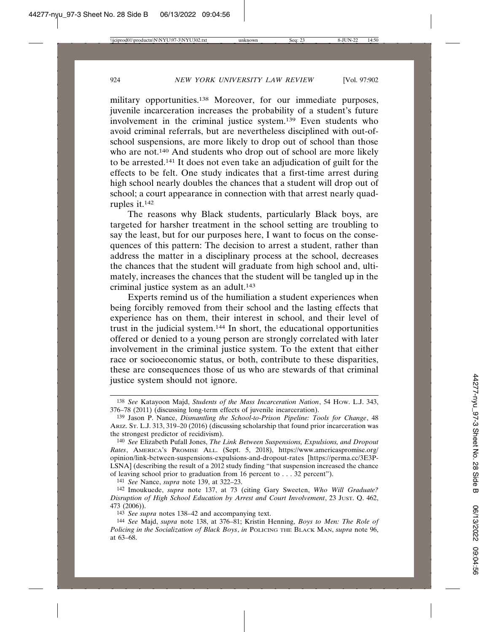military opportunities.<sup>138</sup> Moreover, for our immediate purposes, juvenile incarceration increases the probability of a student's future involvement in the criminal justice system.139 Even students who avoid criminal referrals, but are nevertheless disciplined with out-ofschool suspensions, are more likely to drop out of school than those who are not.<sup>140</sup> And students who drop out of school are more likely to be arrested.141 It does not even take an adjudication of guilt for the effects to be felt. One study indicates that a first-time arrest during high school nearly doubles the chances that a student will drop out of school; a court appearance in connection with that arrest nearly quadruples it.142

The reasons why Black students, particularly Black boys, are targeted for harsher treatment in the school setting are troubling to say the least, but for our purposes here, I want to focus on the consequences of this pattern: The decision to arrest a student, rather than address the matter in a disciplinary process at the school, decreases the chances that the student will graduate from high school and, ultimately, increases the chances that the student will be tangled up in the criminal justice system as an adult.143

Experts remind us of the humiliation a student experiences when being forcibly removed from their school and the lasting effects that experience has on them, their interest in school, and their level of trust in the judicial system.144 In short, the educational opportunities offered or denied to a young person are strongly correlated with later involvement in the criminal justice system. To the extent that either race or socioeconomic status, or both, contribute to these disparities, these are consequences those of us who are stewards of that criminal justice system should not ignore.

141 *See* Nance, *supra* note 139, at 322–23.

<sup>138</sup> *See* Katayoon Majd, *Students of the Mass Incarceration Nation*, 54 HOW. L.J. 343, 376–78 (2011) (discussing long-term effects of juvenile incarceration).

<sup>139</sup> Jason P. Nance, *Dismantling the School-to-Prison Pipeline: Tools for Change*, 48 ARIZ. ST. L.J. 313, 319–20 (2016) (discussing scholarship that found prior incarceration was the strongest predictor of recidivism).

<sup>140</sup> *See* Elizabeth Pufall Jones, *The Link Between Suspensions, Expulsions, and Dropout Rates*, AMERICA'S PROMISE ALL. (Sept. 5, 2018), https://www.americaspromise.org/ opinion/link-between-suspensions-expulsions-and-dropout-rates [https://perma.cc/3E3P-LSNA] (describing the result of a 2012 study finding "that suspension increased the chance of leaving school prior to graduation from 16 percent to . . . 32 percent").

<sup>142</sup> Imoukuede, *supra* note 137, at 73 (citing Gary Sweeten, *Who Will Graduate? Disruption of High School Education by Arrest and Court Involvement*, 23 JUST. Q. 462, 473 (2006)).

<sup>143</sup> *See supra* notes 138–42 and accompanying text.

<sup>144</sup> *See* Majd, *supra* note 138, at 376–81; Kristin Henning, *Boys to Men: The Role of Policing in the Socialization of Black Boys*, *in* POLICING THE BLACK MAN, *supra* note 96, at 63–68.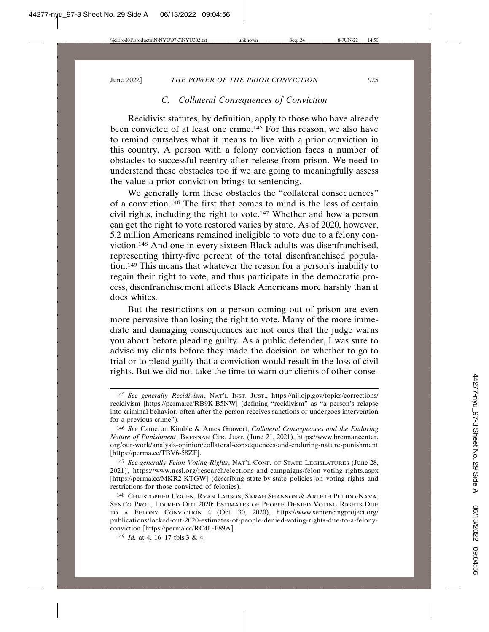### *C. Collateral Consequences of Conviction*

Recidivist statutes, by definition, apply to those who have already been convicted of at least one crime.145 For this reason, we also have to remind ourselves what it means to live with a prior conviction in this country. A person with a felony conviction faces a number of obstacles to successful reentry after release from prison. We need to understand these obstacles too if we are going to meaningfully assess the value a prior conviction brings to sentencing.

We generally term these obstacles the "collateral consequences" of a conviction.146 The first that comes to mind is the loss of certain civil rights, including the right to vote.147 Whether and how a person can get the right to vote restored varies by state. As of 2020, however, 5.2 million Americans remained ineligible to vote due to a felony conviction.148 And one in every sixteen Black adults was disenfranchised, representing thirty-five percent of the total disenfranchised population.149 This means that whatever the reason for a person's inability to regain their right to vote, and thus participate in the democratic process, disenfranchisement affects Black Americans more harshly than it does whites.

But the restrictions on a person coming out of prison are even more pervasive than losing the right to vote. Many of the more immediate and damaging consequences are not ones that the judge warns you about before pleading guilty. As a public defender, I was sure to advise my clients before they made the decision on whether to go to trial or to plead guilty that a conviction would result in the loss of civil rights. But we did not take the time to warn our clients of other conse-

147 *See generally Felon Voting Rights*, NAT'L CONF. OF STATE LEGISLATURES (June 28, 2021), https://www.ncsl.org/research/elections-and-campaigns/felon-voting-rights.aspx [https://perma.cc/MKR2-KTGW] (describing state-by-state policies on voting rights and restrictions for those convicted of felonies).

148 CHRISTOPHER UGGEN, RYAN LARSON, SARAH SHANNON & ARLETH PULIDO-NAVA, SENT'G PROJ., LOCKED OUT 2020: ESTIMATES OF PEOPLE DENIED VOTING RIGHTS DUE TO A FELONY CONVICTION 4 (Oct. 30, 2020), https://www.sentencingproject.org/ publications/locked-out-2020-estimates-of-people-denied-voting-rights-due-to-a-felonyconviction [https://perma.cc/RC4L-F89A].

149 *Id.* at 4, 16–17 tbls.3 & 4.

<sup>145</sup> *See generally Recidivism*, NAT'L INST. JUST., https://nij.ojp.gov/topics/corrections/ recidivism [https://perma.cc/RB9K-B5NW] (defining "recidivism" as "a person's relapse into criminal behavior, often after the person receives sanctions or undergoes intervention for a previous crime").

<sup>146</sup> *See* Cameron Kimble & Ames Grawert, *Collateral Consequences and the Enduring Nature of Punishment*, BRENNAN CTR. JUST. (June 21, 2021), https://www.brennancenter. org/our-work/analysis-opinion/collateral-consequences-and-enduring-nature-punishment [https://perma.cc/TBV6-58ZF].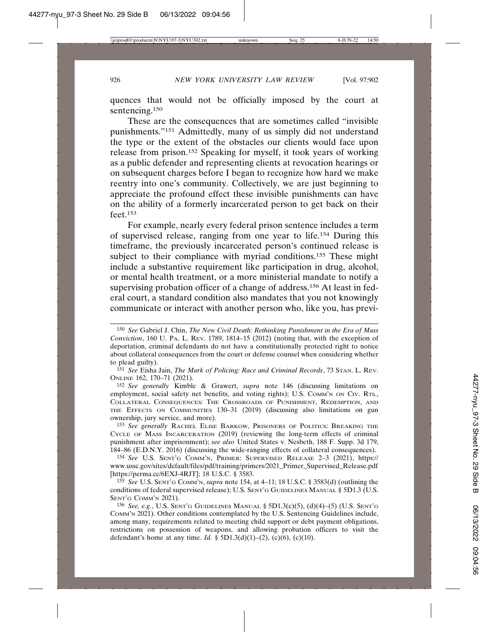quences that would not be officially imposed by the court at sentencing.150

These are the consequences that are sometimes called "invisible punishments."151 Admittedly, many of us simply did not understand the type or the extent of the obstacles our clients would face upon release from prison.152 Speaking for myself, it took years of working as a public defender and representing clients at revocation hearings or on subsequent charges before I began to recognize how hard we make reentry into one's community. Collectively, we are just beginning to appreciate the profound effect these invisible punishments can have on the ability of a formerly incarcerated person to get back on their feet.153

For example, nearly every federal prison sentence includes a term of supervised release, ranging from one year to life.154 During this timeframe, the previously incarcerated person's continued release is subject to their compliance with myriad conditions.<sup>155</sup> These might include a substantive requirement like participation in drug, alcohol, or mental health treatment, or a more ministerial mandate to notify a supervising probation officer of a change of address.<sup>156</sup> At least in federal court, a standard condition also mandates that you not knowingly communicate or interact with another person who, like you, has previ-

<sup>150</sup> *See* Gabriel J. Chin, *The New Civil Death: Rethinking Punishment in the Era of Mass Conviction*, 160 U. PA. L. REV. 1789, 1814–15 (2012) (noting that, with the exception of deportation, criminal defendants do not have a constitutionally protected right to notice about collateral consequences from the court or defense counsel when considering whether to plead guilty).

<sup>151</sup> *See* Eisha Jain, *The Mark of Policing: Race and Criminal Records*, 73 STAN. L. REV. ONLINE 162, 170–71 (2021).

<sup>152</sup> *See generally* Kimble & Grawert, *supra* note 146 (discussing limitations on employment, social safety net benefits, and voting rights); U.S. COMM'N ON CIV. RTS., COLLATERAL CONSEQUENCES: THE CROSSROADS OF PUNISHMENT, REDEMPTION, AND THE EFFECTS ON COMMUNITIES 130–31 (2019) (discussing also limitations on gun ownership, jury service, and more).

<sup>153</sup> *See generally* RACHEL ELISE BARKOW, PRISONERS OF POLITICS: BREAKING THE CYCLE OF MASS INCARCERATION (2019) (reviewing the long-term effects of criminal punishment after imprisonment); *see also* United States v. Nesbeth, 188 F. Supp. 3d 179, 184–86 (E.D.N.Y. 2016) (discussing the wide-ranging effects of collateral consequences).

<sup>154</sup> *See* U.S. SENT'G COMM'N, PRIMER: SUPERVISED RELEASE 2–3 (2021), https:// www.ussc.gov/sites/default/files/pdf/training/primers/2021\_Primer\_Supervised\_Release.pdf [https://perma.cc/6EXJ-4RJT]; 18 U.S.C. § 3583.

<sup>155</sup> *See* U.S. SENT'G COMM'N, *supra* note 154, at 4–11; 18 U.S.C. § 3583(d) (outlining the conditions of federal supervised release); U.S. SENT'G GUIDELINES MANUAL § 5D1.3 (U.S. SENT'G COMM'N 2021).

<sup>156</sup> *See, e.g.*, U.S. SENT'G GUIDELINES MANUAL § 5D1.3(c)(5), (d)(4)–(5) (U.S. SENT'G COMM'N 2021). Other conditions contemplated by the U.S. Sentencing Guidelines include, among many, requirements related to meeting child support or debt payment obligations, restrictions on possession of weapons, and allowing probation officers to visit the defendant's home at any time. *Id.* § 5D1.3(d)(1)–(2), (c)(6), (c)(10).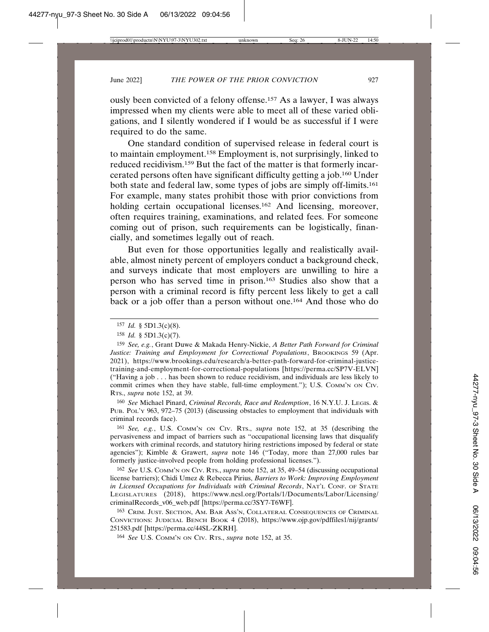ously been convicted of a felony offense.157 As a lawyer, I was always impressed when my clients were able to meet all of these varied obligations, and I silently wondered if I would be as successful if I were required to do the same.

One standard condition of supervised release in federal court is to maintain employment.158 Employment is, not surprisingly, linked to reduced recidivism.159 But the fact of the matter is that formerly incarcerated persons often have significant difficulty getting a job.160 Under both state and federal law, some types of jobs are simply off-limits.161 For example, many states prohibit those with prior convictions from holding certain occupational licenses.<sup>162</sup> And licensing, moreover, often requires training, examinations, and related fees. For someone coming out of prison, such requirements can be logistically, financially, and sometimes legally out of reach.

But even for those opportunities legally and realistically available, almost ninety percent of employers conduct a background check, and surveys indicate that most employers are unwilling to hire a person who has served time in prison.163 Studies also show that a person with a criminal record is fifty percent less likely to get a call back or a job offer than a person without one.164 And those who do

160 *See* Michael Pinard, *Criminal Records, Race and Redemption*, 16 N.Y.U. J. LEGIS. & PUB. POL'Y 963, 972–75 (2013) (discussing obstacles to employment that individuals with criminal records face).

161 *See, e.g.*, U.S. COMM'N ON CIV. RTS., *supra* note 152, at 35 (describing the pervasiveness and impact of barriers such as "occupational licensing laws that disqualify workers with criminal records, and statutory hiring restrictions imposed by federal or state agencies"); Kimble & Grawert, *supra* note 146 ("Today, more than 27,000 rules bar formerly justice-involved people from holding professional licenses.").

162 *See* U.S. COMM'N ON CIV. RTS., *supra* note 152, at 35, 49–54 (discussing occupational license barriers); Chidi Umez & Rebecca Pirius, *Barriers to Work: Improving Employment in Licensed Occupations for Individuals with Criminal Records*, NAT'L CONF. OF STATE LEGISLATURES (2018), https://www.ncsl.org/Portals/1/Documents/Labor/Licensing/ criminalRecords\_v06\_web.pdf [https://perma.cc/3SY7-T6WF].

163 CRIM. JUST. SECTION, AM. BAR ASS'N, COLLATERAL CONSEQUENCES OF CRIMINAL CONVICTIONS: JUDICIAL BENCH BOOK 4 (2018), https://www.ojp.gov/pdffiles1/nij/grants/ 251583.pdf [https://perma.cc/44SL-ZKRH].

164 *See* U.S. COMM'N ON CIV. RTS., *supra* note 152, at 35.

<sup>157</sup> *Id.* § 5D1.3(c)(8).

<sup>158</sup> *Id.* § 5D1.3(c)(7).

<sup>159</sup> *See, e.g.*, Grant Duwe & Makada Henry-Nickie, *A Better Path Forward for Criminal Justice: Training and Employment for Correctional Populations*, BROOKINGS 59 (Apr. 2021), https://www.brookings.edu/research/a-better-path-forward-for-criminal-justicetraining-and-employment-for-correctional-populations [https://perma.cc/SP7V-ELVN] ("Having a job . . . has been shown to reduce recidivism, and individuals are less likely to commit crimes when they have stable, full-time employment."); U.S. COMM'N ON CIV. RTS., *supra* note 152, at 39.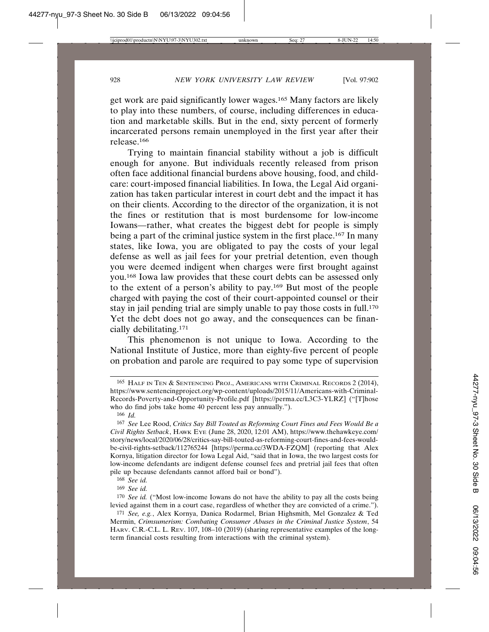get work are paid significantly lower wages.165 Many factors are likely to play into these numbers, of course, including differences in education and marketable skills. But in the end, sixty percent of formerly incarcerated persons remain unemployed in the first year after their release.166

Trying to maintain financial stability without a job is difficult enough for anyone. But individuals recently released from prison often face additional financial burdens above housing, food, and childcare: court-imposed financial liabilities. In Iowa, the Legal Aid organization has taken particular interest in court debt and the impact it has on their clients. According to the director of the organization, it is not the fines or restitution that is most burdensome for low-income Iowans—rather, what creates the biggest debt for people is simply being a part of the criminal justice system in the first place.<sup>167</sup> In many states, like Iowa, you are obligated to pay the costs of your legal defense as well as jail fees for your pretrial detention, even though you were deemed indigent when charges were first brought against you.168 Iowa law provides that these court debts can be assessed only to the extent of a person's ability to pay.169 But most of the people charged with paying the cost of their court-appointed counsel or their stay in jail pending trial are simply unable to pay those costs in full.<sup>170</sup> Yet the debt does not go away, and the consequences can be financially debilitating.171

This phenomenon is not unique to Iowa. According to the National Institute of Justice, more than eighty-five percent of people on probation and parole are required to pay some type of supervision

<sup>165</sup> HALF IN TEN & SENTENCING PROJ., AMERICANS WITH CRIMINAL RECORDS 2 (2014), https://www.sentencingproject.org/wp-content/uploads/2015/11/Americans-with-Criminal-Records-Poverty-and-Opportunity-Profile.pdf [https://perma.cc/L3C3-YLRZ] ("[T]hose who do find jobs take home 40 percent less pay annually.").

<sup>166</sup> *Id.*

<sup>167</sup> *See* Lee Rood, *Critics Say Bill Touted as Reforming Court Fines and Fees Would Be a Civil Rights Setback*, HAWK EYE (June 28, 2020, 12:01 AM), https://www.thehawkeye.com/ story/news/local/2020/06/28/critics-say-bill-touted-as-reforming-court-fines-and-fees-wouldbe-civil-rights-setback/112765244 [https://perma.cc/3WDA-FZQM] (reporting that Alex Kornya, litigation director for Iowa Legal Aid, "said that in Iowa, the two largest costs for low-income defendants are indigent defense counsel fees and pretrial jail fees that often pile up because defendants cannot afford bail or bond").

<sup>168</sup> *See id.*

<sup>169</sup> *See id.*

<sup>170</sup> *See id.* ("Most low-income Iowans do not have the ability to pay all the costs being levied against them in a court case, regardless of whether they are convicted of a crime.").

<sup>171</sup> *See, e.g.*, Alex Kornya, Danica Rodarmel, Brian Highsmith, Mel Gonzalez & Ted Mermin, *Crimsumerism: Combating Consumer Abuses in the Criminal Justice System*, 54 HARV. C.R.-C.L. L. REV. 107, 108–10 (2019) (sharing representative examples of the longterm financial costs resulting from interactions with the criminal system).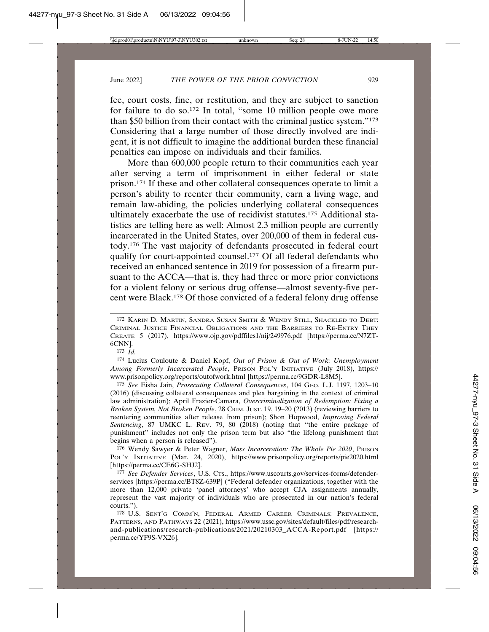fee, court costs, fine, or restitution, and they are subject to sanction for failure to do so.172 In total, "some 10 million people owe more than \$50 billion from their contact with the criminal justice system."173 Considering that a large number of those directly involved are indigent, it is not difficult to imagine the additional burden these financial penalties can impose on individuals and their families.

More than 600,000 people return to their communities each year after serving a term of imprisonment in either federal or state prison.174 If these and other collateral consequences operate to limit a person's ability to reenter their community, earn a living wage, and remain law-abiding, the policies underlying collateral consequences ultimately exacerbate the use of recidivist statutes.175 Additional statistics are telling here as well: Almost 2.3 million people are currently incarcerated in the United States, over 200,000 of them in federal custody.176 The vast majority of defendants prosecuted in federal court qualify for court-appointed counsel.177 Of all federal defendants who received an enhanced sentence in 2019 for possession of a firearm pursuant to the ACCA—that is, they had three or more prior convictions for a violent felony or serious drug offense—almost seventy-five percent were Black.178 Of those convicted of a federal felony drug offense

173 *Id.*

174 Lucius Couloute & Daniel Kopf, *Out of Prison & Out of Work: Unemployment Among Formerly Incarcerated People*, PRISON POL'Y INITIATIVE (July 2018), https:// www.prisonpolicy.org/reports/outofwork.html [https://perma.cc/9GDR-L8M5].

175 *See* Eisha Jain, *Prosecuting Collateral Consequences*, 104 GEO. L.J. 1197, 1203–10 (2016) (discussing collateral consequences and plea bargaining in the context of criminal law administration); April Frazier-Camara, *Overcriminalization of Redemption: Fixing a Broken System, Not Broken People*, 28 CRIM. JUST. 19, 19–20 (2013) (reviewing barriers to reentering communities after release from prison); Shon Hopwood, *Improving Federal Sentencing*, 87 UMKC L. REV. 79, 80 (2018) (noting that "the entire package of punishment" includes not only the prison term but also "the lifelong punishment that begins when a person is released").

176 Wendy Sawyer & Peter Wagner, *Mass Incarceration: The Whole Pie 2020*, PRISON POL'Y INITIATIVE (Mar. 24, 2020), https://www.prisonpolicy.org/reports/pie2020.html [https://perma.cc/CE6G-SHJ2].

177 *See Defender Services*, U.S. CTS., https://www.uscourts.gov/services-forms/defenderservices [https://perma.cc/BT8Z-639P] ("Federal defender organizations, together with the more than 12,000 private 'panel attorneys' who accept CJA assignments annually, represent the vast majority of individuals who are prosecuted in our nation's federal courts.").

178 U.S. SENT'G COMM'N, FEDERAL ARMED CAREER CRIMINALS: PREVALENCE, PATTERNS, AND PATHWAYS 22 (2021), https://www.ussc.gov/sites/default/files/pdf/researchand-publications/research-publications/2021/20210303\_ACCA-Report.pdf [https:// perma.cc/YF9S-VX26].

<sup>172</sup> KARIN D. MARTIN, SANDRA SUSAN SMITH & WENDY STILL, SHACKLED TO DEBT: CRIMINAL JUSTICE FINANCIAL OBLIGATIONS AND THE BARRIERS TO RE-ENTRY THEY CREATE 5 (2017), https://www.ojp.gov/pdffiles1/nij/249976.pdf [https://perma.cc/N7ZT-6CNN].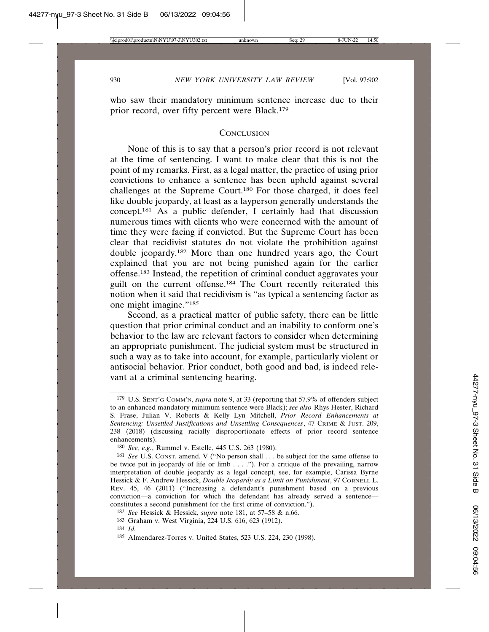who saw their mandatory minimum sentence increase due to their prior record, over fifty percent were Black.179

### **CONCLUSION**

None of this is to say that a person's prior record is not relevant at the time of sentencing. I want to make clear that this is not the point of my remarks. First, as a legal matter, the practice of using prior convictions to enhance a sentence has been upheld against several challenges at the Supreme Court.180 For those charged, it does feel like double jeopardy, at least as a layperson generally understands the concept.181 As a public defender, I certainly had that discussion numerous times with clients who were concerned with the amount of time they were facing if convicted. But the Supreme Court has been clear that recidivist statutes do not violate the prohibition against double jeopardy.182 More than one hundred years ago, the Court explained that you are not being punished again for the earlier offense.183 Instead, the repetition of criminal conduct aggravates your guilt on the current offense.184 The Court recently reiterated this notion when it said that recidivism is "as typical a sentencing factor as one might imagine."185

Second, as a practical matter of public safety, there can be little question that prior criminal conduct and an inability to conform one's behavior to the law are relevant factors to consider when determining an appropriate punishment. The judicial system must be structured in such a way as to take into account, for example, particularly violent or antisocial behavior. Prior conduct, both good and bad, is indeed relevant at a criminal sentencing hearing.

<sup>179</sup> U.S. SENT'G COMM'N, *supra* note 9, at 33 (reporting that 57.9% of offenders subject to an enhanced mandatory minimum sentence were Black); *see also* Rhys Hester, Richard S. Frase, Julian V. Roberts & Kelly Lyn Mitchell, *Prior Record Enhancements at Sentencing: Unsettled Justifications and Unsettling Consequences*, 47 CRIME & JUST. 209, 238 (2018) (discussing racially disproportionate effects of prior record sentence enhancements).

<sup>180</sup> *See, e.g.*, Rummel v. Estelle, 445 U.S. 263 (1980).

<sup>181</sup> *See* U.S. CONST. amend. V ("No person shall . . . be subject for the same offense to be twice put in jeopardy of life or limb  $\dots$ ."). For a critique of the prevailing, narrow interpretation of double jeopardy as a legal concept, see, for example, Carissa Byrne Hessick & F. Andrew Hessick, *Double Jeopardy as a Limit on Punishment*, 97 CORNELL L. REV. 45, 46 (2011) ("Increasing a defendant's punishment based on a previous conviction—a conviction for which the defendant has already served a sentence constitutes a second punishment for the first crime of conviction.").

<sup>182</sup> *See* Hessick & Hessick, *supra* note 181, at 57–58 & n.66.

<sup>183</sup> Graham v. West Virginia, 224 U.S. 616, 623 (1912).

<sup>184</sup> *Id.*

<sup>185</sup> Almendarez-Torres v. United States, 523 U.S. 224, 230 (1998).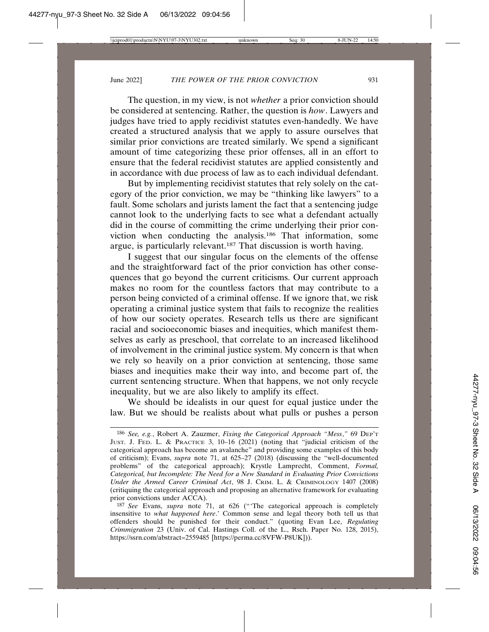The question, in my view, is not *whether* a prior conviction should be considered at sentencing. Rather, the question is *how*. Lawyers and judges have tried to apply recidivist statutes even-handedly. We have created a structured analysis that we apply to assure ourselves that similar prior convictions are treated similarly. We spend a significant amount of time categorizing these prior offenses, all in an effort to ensure that the federal recidivist statutes are applied consistently and in accordance with due process of law as to each individual defendant.

But by implementing recidivist statutes that rely solely on the category of the prior conviction, we may be "thinking like lawyers" to a fault. Some scholars and jurists lament the fact that a sentencing judge cannot look to the underlying facts to see what a defendant actually did in the course of committing the crime underlying their prior conviction when conducting the analysis.186 That information, some argue, is particularly relevant.187 That discussion is worth having.

I suggest that our singular focus on the elements of the offense and the straightforward fact of the prior conviction has other consequences that go beyond the current criticisms. Our current approach makes no room for the countless factors that may contribute to a person being convicted of a criminal offense. If we ignore that, we risk operating a criminal justice system that fails to recognize the realities of how our society operates. Research tells us there are significant racial and socioeconomic biases and inequities, which manifest themselves as early as preschool, that correlate to an increased likelihood of involvement in the criminal justice system. My concern is that when we rely so heavily on a prior conviction at sentencing, those same biases and inequities make their way into, and become part of, the current sentencing structure. When that happens, we not only recycle inequality, but we are also likely to amplify its effect.

We should be idealists in our quest for equal justice under the law. But we should be realists about what pulls or pushes a person

<sup>186</sup> *See, e.g.*, Robert A. Zauzmer, *Fixing the Categorical Approach "Mess*,*"* 69 DEP'T JUST. J. FED. L. & PRACTICE 3, 10–16 (2021) (noting that "judicial criticism of the categorical approach has become an avalanche" and providing some examples of this body of criticism); Evans, *supra* note 71, at 625–27 (2018) (discussing the "well-documented problems" of the categorical approach); Krystle Lamprecht, Comment, *Formal, Categorical, but Incomplete: The Need for a New Standard in Evaluating Prior Convictions Under the Armed Career Criminal Act*, 98 J. CRIM. L. & CRIMINOLOGY 1407 (2008) (critiquing the categorical approach and proposing an alternative framework for evaluating prior convictions under ACCA).

<sup>187</sup> *See* Evans, *supra* note 71, at 626 ("'The categorical approach is completely insensitive to *what happened here*.' Common sense and legal theory both tell us that offenders should be punished for their conduct." (quoting Evan Lee, *Regulating Crimmigration* 23 (Univ. of Cal. Hastings Coll. of the L., Rsch. Paper No. 128, 2015), https://ssrn.com/abstract=2559485 [https://perma.cc/8VFW-P8UK])).